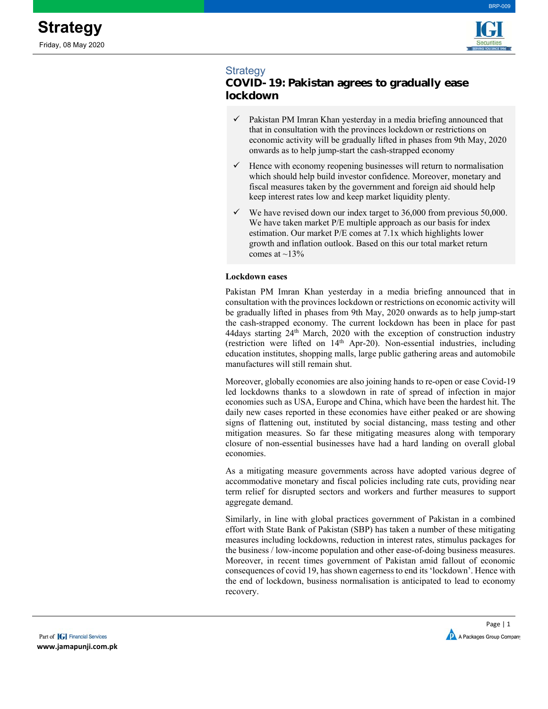

BRP-009

# Strategy

# **COVID-19: Pakistan agrees to gradually ease lockdown**

- $\checkmark$  Pakistan PM Imran Khan yesterday in a media briefing announced that that in consultation with the provinces lockdown or restrictions on economic activity will be gradually lifted in phases from 9th May, 2020 onwards as to help jump-start the cash-strapped economy
- $\checkmark$  Hence with economy reopening businesses will return to normalisation which should help build investor confidence. Moreover, monetary and fiscal measures taken by the government and foreign aid should help keep interest rates low and keep market liquidity plenty.
- We have revised down our index target to 36,000 from previous 50,000. We have taken market P/E multiple approach as our basis for index estimation. Our market P/E comes at 7.1x which highlights lower growth and inflation outlook. Based on this our total market return comes at  $\sim$ 13%

### **Lockdown eases**

Pakistan PM Imran Khan yesterday in a media briefing announced that in consultation with the provinces lockdown or restrictions on economic activity will be gradually lifted in phases from 9th May, 2020 onwards as to help jump-start the cash-strapped economy. The current lockdown has been in place for past 44days starting  $24<sup>th</sup>$  March, 2020 with the exception of construction industry (restriction were lifted on 14<sup>th</sup> Apr-20). Non-essential industries, including education institutes, shopping malls, large public gathering areas and automobile manufactures will still remain shut.

Moreover, globally economies are also joining hands to re-open or ease Covid-19 led lockdowns thanks to a slowdown in rate of spread of infection in major economies such as USA, Europe and China, which have been the hardest hit. The daily new cases reported in these economies have either peaked or are showing signs of flattening out, instituted by social distancing, mass testing and other mitigation measures. So far these mitigating measures along with temporary closure of non-essential businesses have had a hard landing on overall global economies.

As a mitigating measure governments across have adopted various degree of accommodative monetary and fiscal policies including rate cuts, providing near term relief for disrupted sectors and workers and further measures to support aggregate demand.

Similarly, in line with global practices government of Pakistan in a combined effort with State Bank of Pakistan (SBP) has taken a number of these mitigating measures including lockdowns, reduction in interest rates, stimulus packages for the business / low-income population and other ease-of-doing business measures. Moreover, in recent times government of Pakistan amid fallout of economic consequences of covid 19, has shown eagerness to end its 'lockdown'. Hence with the end of lockdown, business normalisation is anticipated to lead to economy recovery.

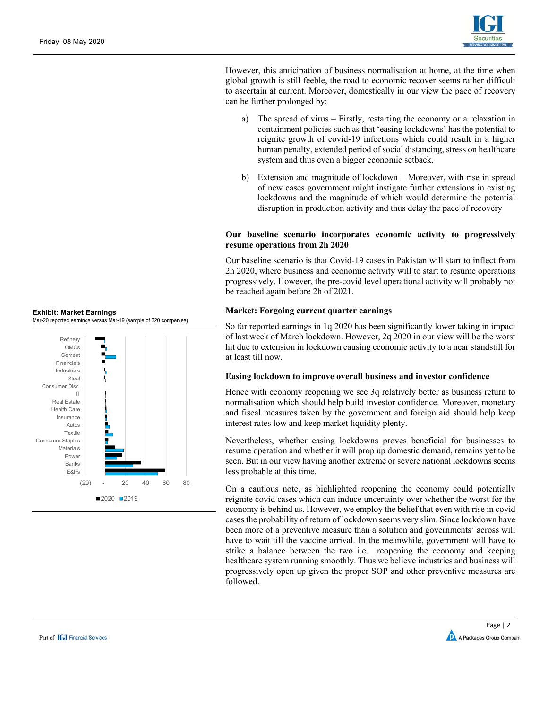

However, this anticipation of business normalisation at home, at the time when global growth is still feeble, the road to economic recover seems rather difficult to ascertain at current. Moreover, domestically in our view the pace of recovery can be further prolonged by;

- a) The spread of virus Firstly, restarting the economy or a relaxation in containment policies such as that 'easing lockdowns' has the potential to reignite growth of covid-19 infections which could result in a higher human penalty, extended period of social distancing, stress on healthcare system and thus even a bigger economic setback.
- b) Extension and magnitude of lockdown Moreover, with rise in spread of new cases government might instigate further extensions in existing lockdowns and the magnitude of which would determine the potential disruption in production activity and thus delay the pace of recovery

#### **Our baseline scenario incorporates economic activity to progressively resume operations from 2h 2020**

Our baseline scenario is that Covid-19 cases in Pakistan will start to inflect from 2h 2020, where business and economic activity will to start to resume operations progressively. However, the pre-covid level operational activity will probably not be reached again before 2h of 2021.

### **Market: Forgoing current quarter earnings**

So far reported earnings in 1q 2020 has been significantly lower taking in impact of last week of March lockdown. However, 2q 2020 in our view will be the worst hit due to extension in lockdown causing economic activity to a near standstill for at least till now.

#### **Easing lockdown to improve overall business and investor confidence**

Hence with economy reopening we see 3q relatively better as business return to normalisation which should help build investor confidence. Moreover, monetary and fiscal measures taken by the government and foreign aid should help keep interest rates low and keep market liquidity plenty.

Nevertheless, whether easing lockdowns proves beneficial for businesses to resume operation and whether it will prop up domestic demand, remains yet to be seen. But in our view having another extreme or severe national lockdowns seems less probable at this time.

On a cautious note, as highlighted reopening the economy could potentially reignite covid cases which can induce uncertainty over whether the worst for the economy is behind us. However, we employ the belief that even with rise in covid cases the probability of return of lockdown seems very slim. Since lockdown have been more of a preventive measure than a solution and governments' across will have to wait till the vaccine arrival. In the meanwhile, government will have to strike a balance between the two i.e. reopening the economy and keeping healthcare system running smoothly. Thus we believe industries and business will progressively open up given the proper SOP and other preventive measures are followed.



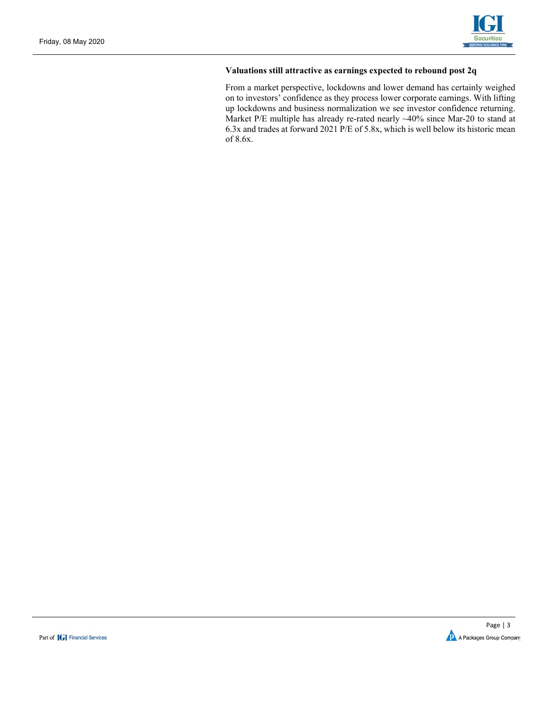

### **Valuations still attractive as earnings expected to rebound post 2q**

From a market perspective, lockdowns and lower demand has certainly weighed on to investors' confidence as they process lower corporate earnings. With lifting up lockdowns and business normalization we see investor confidence returning. Market P/E multiple has already re-rated nearly ~40% since Mar-20 to stand at 6.3x and trades at forward 2021 P/E of 5.8x, which is well below its historic mean of 8.6x.

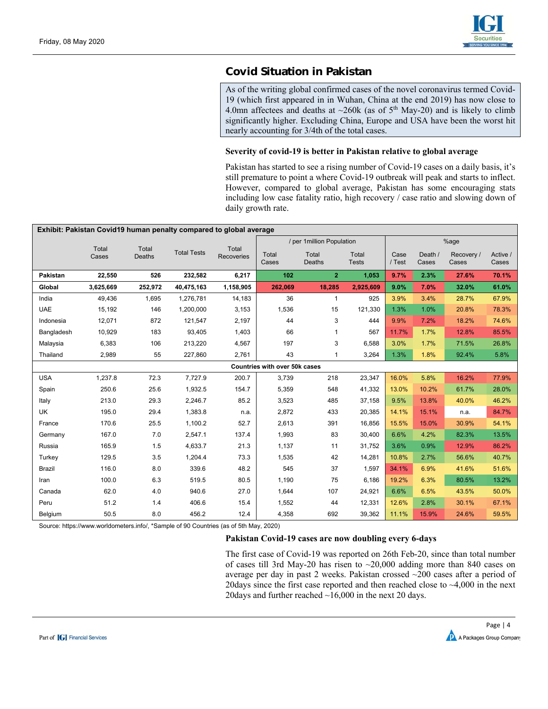

# **Covid Situation in Pakistan**

As of the writing global confirmed cases of the novel coronavirus termed Covid-19 (which first appeared in in Wuhan, China at the end 2019) has now close to 4.0mn affectees and deaths at  $\sim$ 260k (as of 5<sup>th</sup> May-20) and is likely to climb significantly higher. Excluding China, Europe and USA have been the worst hit nearly accounting for 3/4th of the total cases.

#### **Severity of covid-19 is better in Pakistan relative to global average**

Pakistan has started to see a rising number of Covid-19 cases on a daily basis, it's still premature to point a where Covid-19 outbreak will peak and starts to inflect. However, compared to global average, Pakistan has some encouraging stats including low case fatality ratio, high recovery / case ratio and slowing down of daily growth rate.

| Exhibit: Pakistan Covid19 human penalty compared to global average |                |                 |                    |                     |                               |                            |                       |                |                  |                     |                   |  |
|--------------------------------------------------------------------|----------------|-----------------|--------------------|---------------------|-------------------------------|----------------------------|-----------------------|----------------|------------------|---------------------|-------------------|--|
|                                                                    |                |                 |                    |                     |                               | / per 1 million Population |                       |                |                  | %age                |                   |  |
|                                                                    | Total<br>Cases | Total<br>Deaths | <b>Total Tests</b> | Total<br>Recoveries | Total<br>Cases                | Total<br>Deaths            | Total<br><b>Tests</b> | Case<br>/ Test | Death /<br>Cases | Recovery /<br>Cases | Active /<br>Cases |  |
| <b>Pakistan</b>                                                    | 22,550         | 526             | 232,582            | 6,217               | 102                           | $\overline{2}$             | 1,053                 | 9.7%           | 2.3%             | 27.6%               | 70.1%             |  |
| Global                                                             | 3,625,669      | 252,972         | 40,475,163         | 1,158,905           | 262,069                       | 18,285                     | 2,925,609             | 9.0%           | 7.0%             | 32.0%               | 61.0%             |  |
| India                                                              | 49,436         | 1,695           | 1,276,781          | 14,183              | 36                            | $\mathbf{1}$               | 925                   | 3.9%           | 3.4%             | 28.7%               | 67.9%             |  |
| <b>UAE</b>                                                         | 15,192         | 146             | 1,200,000          | 3,153               | 1,536                         | 15                         | 121,330               | 1.3%           | 1.0%             | 20.8%               | 78.3%             |  |
| Indonesia                                                          | 12,071         | 872             | 121,547            | 2,197               | 44                            | 3                          | 444                   | 9.9%           | 7.2%             | 18.2%               | 74.6%             |  |
| Bangladesh                                                         | 10,929         | 183             | 93,405             | 1,403               | 66                            |                            | 567                   | 11.7%          | 1.7%             | 12.8%               | 85.5%             |  |
| Malaysia                                                           | 6,383          | 106             | 213,220            | 4,567               | 197                           | 3                          | 6,588                 | 3.0%           | 1.7%             | 71.5%               | 26.8%             |  |
| Thailand                                                           | 2,989          | 55              | 227,860            | 2,761               | 43                            | $\overline{1}$             | 3,264                 | 1.3%           | 1.8%             | 92.4%               | 5.8%              |  |
|                                                                    |                |                 |                    |                     | Countries with over 50k cases |                            |                       |                |                  |                     |                   |  |
| <b>USA</b>                                                         | 1,237.8        | 72.3            | 7,727.9            | 200.7               | 3,739                         | 218                        | 23,347                | 16.0%          | 5.8%             | 16.2%               | 77.9%             |  |
| Spain                                                              | 250.6          | 25.6            | 1,932.5            | 154.7               | 5,359                         | 548                        | 41,332                | 13.0%          | 10.2%            | 61.7%               | 28.0%             |  |
| Italy                                                              | 213.0          | 29.3            | 2,246.7            | 85.2                | 3,523                         | 485                        | 37,158                | 9.5%           | 13.8%            | 40.0%               | 46.2%             |  |
| UK                                                                 | 195.0          | 29.4            | 1,383.8            | n.a.                | 2,872                         | 433                        | 20,385                | 14.1%          | 15.1%            | n.a.                | 84.7%             |  |
| France                                                             | 170.6          | 25.5            | 1,100.2            | 52.7                | 2,613                         | 391                        | 16,856                | 15.5%          | 15.0%            | 30.9%               | 54.1%             |  |
| Germany                                                            | 167.0          | 7.0             | 2,547.1            | 137.4               | 1,993                         | 83                         | 30,400                | 6.6%           | 4.2%             | 82.3%               | 13.5%             |  |
| Russia                                                             | 165.9          | 1.5             | 4,633.7            | 21.3                | 1,137                         | 11                         | 31,752                | 3.6%           | 0.9%             | 12.9%               | 86.2%             |  |
| Turkey                                                             | 129.5          | 3.5             | 1,204.4            | 73.3                | 1,535                         | 42                         | 14,281                | 10.8%          | 2.7%             | 56.6%               | 40.7%             |  |
| Brazil                                                             | 116.0          | 8.0             | 339.6              | 48.2                | 545                           | 37                         | 1,597                 | 34.1%          | 6.9%             | 41.6%               | 51.6%             |  |
| Iran                                                               | 100.0          | 6.3             | 519.5              | 80.5                | 1,190                         | 75                         | 6,186                 | 19.2%          | 6.3%             | 80.5%               | 13.2%             |  |
| Canada                                                             | 62.0           | 4.0             | 940.6              | 27.0                | 1,644                         | 107                        | 24,921                | 6.6%           | 6.5%             | 43.5%               | 50.0%             |  |
| Peru                                                               | 51.2           | 1.4             | 406.6              | 15.4                | 1,552                         | 44                         | 12,331                | 12.6%          | 2.8%             | 30.1%               | 67.1%             |  |
| Belgium                                                            | 50.5           | 8.0             | 456.2              | 12.4                | 4,358                         | 692                        | 39,362                | 11.1%          | 15.9%            | 24.6%               | 59.5%             |  |

Source: https://www.worldometers.info/, \*Sample of 90 Countries (as of 5th May, 2020)

#### **Pakistan Covid-19 cases are now doubling every 6-days**

The first case of Covid-19 was reported on 26th Feb-20, since than total number of cases till 3rd May-20 has risen to  $\sim$  20,000 adding more than 840 cases on average per day in past 2 weeks. Pakistan crossed ~200 cases after a period of 20 days since the first case reported and then reached close to  $~4,000$  in the next 20days and further reached ~16,000 in the next 20 days.

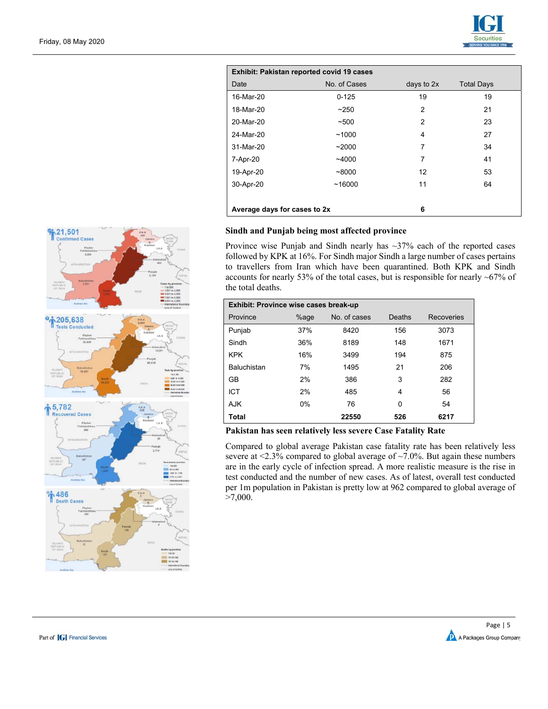

| Exhibit: Pakistan reported covid 19 cases |              |                |                   |  |  |  |  |  |  |  |
|-------------------------------------------|--------------|----------------|-------------------|--|--|--|--|--|--|--|
| Date                                      | No. of Cases | days to 2x     | <b>Total Days</b> |  |  |  |  |  |  |  |
| 16-Mar-20                                 | $0 - 125$    | 19             | 19                |  |  |  |  |  |  |  |
| 18-Mar-20                                 | ~250         | $\overline{2}$ | 21                |  |  |  |  |  |  |  |
| 20-Mar-20                                 | ~100         | $\overline{2}$ | 23                |  |  |  |  |  |  |  |
| 24-Mar-20                                 | ~1000        | 4              | 27                |  |  |  |  |  |  |  |
| 31-Mar-20                                 | ~2000        | 7              | 34                |  |  |  |  |  |  |  |
| 7-Apr-20                                  | $-4000$      | 7              | 41                |  |  |  |  |  |  |  |
| 19-Apr-20                                 | ~18000       | 12             | 53                |  |  |  |  |  |  |  |
| 30-Apr-20                                 | ~16000       | 11             | 64                |  |  |  |  |  |  |  |
|                                           |              |                |                   |  |  |  |  |  |  |  |
| Average days for cases to 2x              |              | 6              |                   |  |  |  |  |  |  |  |

#### **Sindh and Punjab being most affected province**

Province wise Punjab and Sindh nearly has ~37% each of the reported cases followed by KPK at 16%. For Sindh major Sindh a large number of cases pertains to travellers from Iran which have been quarantined. Both KPK and Sindh accounts for nearly 53% of the total cases, but is responsible for nearly ~67% of the total deaths.

| Exhibit: Province wise cases break-up |       |              |        |                   |
|---------------------------------------|-------|--------------|--------|-------------------|
| Province                              | %age  | No. of cases | Deaths | <b>Recoveries</b> |
| Punjab                                | 37%   | 8420         | 156    | 3073              |
| Sindh                                 | 36%   | 8189         | 148    | 1671              |
| <b>KPK</b>                            | 16%   | 3499         | 194    | 875               |
| Baluchistan                           | 7%    | 1495         | 21     | 206               |
| GB                                    | 2%    | 386          | 3      | 282               |
| ICT                                   | 2%    | 485          | 4      | 56                |
| <b>AJK</b>                            | $0\%$ | 76           | 0      | 54                |
| Total                                 |       | 22550        | 526    | 6217              |

#### **Pakistan has seen relatively less severe Case Fatality Rate**

Compared to global average Pakistan case fatality rate has been relatively less severe at <2.3% compared to global average of ~7.0%. But again these numbers are in the early cycle of infection spread. A more realistic measure is the rise in test conducted and the number of new cases. As of latest, overall test conducted per 1m population in Pakistan is pretty low at 962 compared to global average of >7,000.



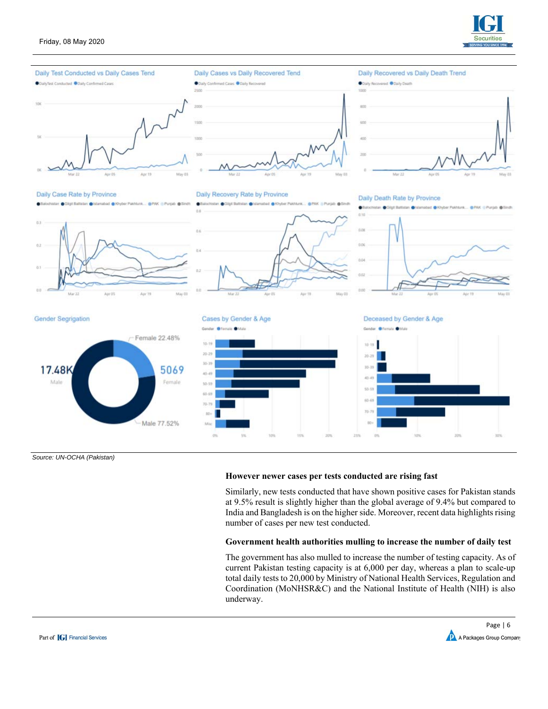





*Source: UN-OCHA (Pakistan)* 

#### **However newer cases per tests conducted are rising fast**

Similarly, new tests conducted that have shown positive cases for Pakistan stands at 9.5% result is slightly higher than the global average of 9.4% but compared to India and Bangladesh is on the higher side. Moreover, recent data highlights rising number of cases per new test conducted.

#### **Government health authorities mulling to increase the number of daily test**

The government has also mulled to increase the number of testing capacity. As of current Pakistan testing capacity is at 6,000 per day, whereas a plan to scale-up total daily tests to 20,000 by Ministry of National Health Services, Regulation and Coordination (MoNHSR&C) and the National Institute of Health (NIH) is also underway.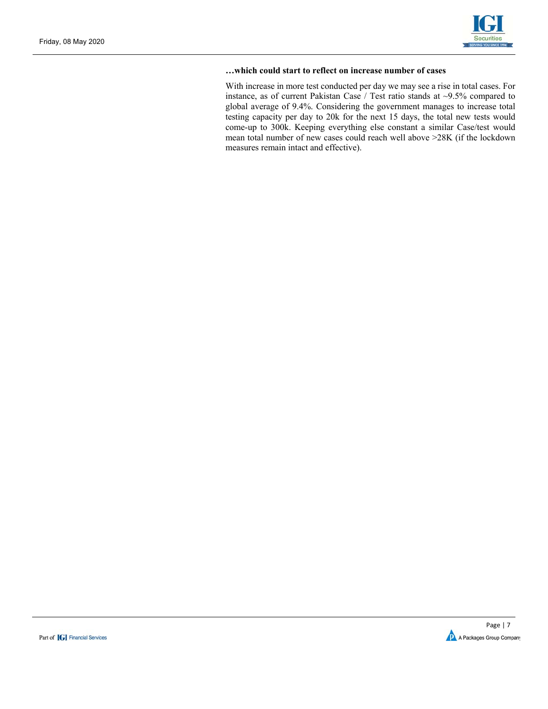

#### **…which could start to reflect on increase number of cases**

With increase in more test conducted per day we may see a rise in total cases. For instance, as of current Pakistan Case / Test ratio stands at ~9.5% compared to global average of 9.4%. Considering the government manages to increase total testing capacity per day to 20k for the next 15 days, the total new tests would come-up to 300k. Keeping everything else constant a similar Case/test would mean total number of new cases could reach well above >28K (if the lockdown measures remain intact and effective).

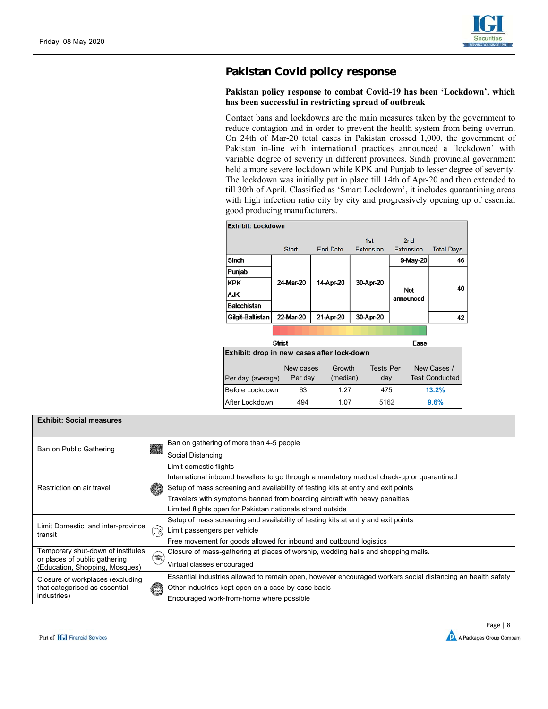

# **Pakistan Covid policy response**

### **Pakistan policy response to combat Covid-19 has been 'Lockdown', which has been successful in restricting spread of outbreak**

Contact bans and lockdowns are the main measures taken by the government to reduce contagion and in order to prevent the health system from being overrun. On 24th of Mar-20 total cases in Pakistan crossed 1,000, the government of Pakistan in-line with international practices announced a 'lockdown' with variable degree of severity in different provinces. Sindh provincial government held a more severe lockdown while KPK and Punjab to lesser degree of severity. The lockdown was initially put in place till 14th of Apr-20 and then extended to till 30th of April. Classified as 'Smart Lockdown', it includes quarantining areas with high infection ratio city by city and progressively opening up of essential good producing manufacturers.

| <b>Exhibit: Lockdown</b>                   |               |                 |                         |                                     |                       |  |
|--------------------------------------------|---------------|-----------------|-------------------------|-------------------------------------|-----------------------|--|
|                                            | <b>Start</b>  | <b>End Date</b> | 1st<br><b>Extension</b> | 2 <sub>nd</sub><br><b>Extension</b> | <b>Total Days</b>     |  |
| Sindh                                      |               |                 |                         | 9-May-20                            | 46                    |  |
| Punjab                                     |               |                 |                         |                                     |                       |  |
| <b>KPK</b>                                 | 24-Mar-20     | 14-Apr-20       | 30-Apr-20               |                                     | 40                    |  |
| <b>AJK</b>                                 |               |                 |                         | Not<br>announced                    |                       |  |
| Balochistan                                |               |                 |                         |                                     |                       |  |
| Gilgit-Baltistan                           | 22-Mar-20     | 21-Apr-20       | 30-Apr-20               |                                     | 42                    |  |
|                                            |               |                 |                         |                                     |                       |  |
|                                            | <b>Strict</b> |                 |                         | Ease                                |                       |  |
| Exhibit: drop in new cases after lock-down |               |                 |                         |                                     |                       |  |
|                                            | New cases     | Growth          | <b>Tests Per</b>        |                                     | New Cases /           |  |
| Per day (average)                          | Per day       | (median)        | day                     |                                     | <b>Test Conducted</b> |  |
| Before Lockdown                            | 63            | 1 27            | 475                     |                                     | 13.2%                 |  |
| After Lockdown                             | 494           | 1.07            | 5162                    |                                     | 9.6%                  |  |

| <b>Exhibit: Social measures</b>                                 |                              |                                                                                                            |
|-----------------------------------------------------------------|------------------------------|------------------------------------------------------------------------------------------------------------|
| Ban on Public Gathering                                         | 慈                            | Ban on gathering of more than 4-5 people                                                                   |
|                                                                 |                              | Social Distancing                                                                                          |
|                                                                 |                              | Limit domestic flights                                                                                     |
|                                                                 |                              | International inbound travellers to go through a mandatory medical check-up or quarantined                 |
| Restriction on air travel                                       |                              | Setup of mass screening and availability of testing kits at entry and exit points                          |
|                                                                 |                              | Travelers with symptoms banned from boarding aircraft with heavy penalties                                 |
|                                                                 |                              | Limited flights open for Pakistan nationals strand outside                                                 |
|                                                                 |                              | Setup of mass screening and availability of testing kits at entry and exit points                          |
| Limit Domestic and inter-province<br>transit                    | 63                           | Limit passengers per vehicle                                                                               |
|                                                                 |                              | Free movement for goods allowed for inbound and outbound logistics                                         |
| Temporary shut-down of institutes                               | $\textcolor{blue}{\bigcirc}$ | Closure of mass-gathering at places of worship, wedding halls and shopping malls.                          |
| or places of public gathering<br>(Education, Shopping, Mosques) |                              | Virtual classes encouraged                                                                                 |
| Closure of workplaces (excluding                                |                              | Essential industries allowed to remain open, however encouraged workers social distancing an health safety |
| that categorised as essential                                   | gena<br>K                    | Other industries kept open on a case-by-case basis                                                         |
| industries)                                                     |                              | Encouraged work-from-home where possible                                                                   |

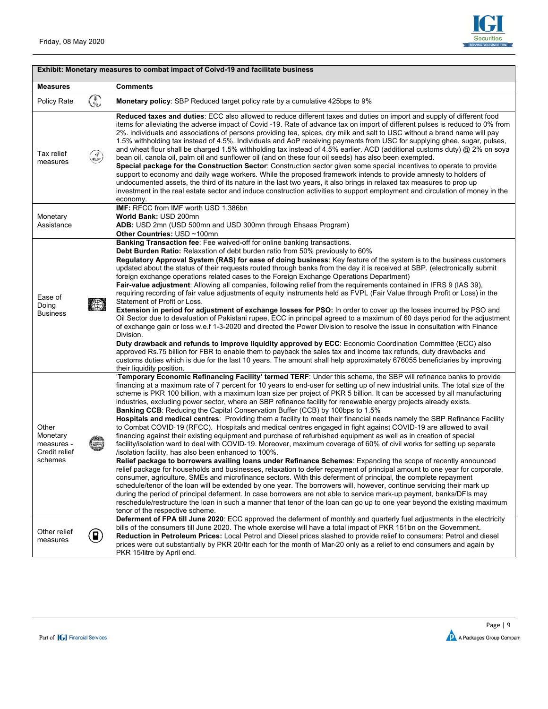

|                                                             |                     | Exhibit: Monetary measures to combat impact of Coivd-19 and facilitate business                                                                                                                                                                                                                                                                                                                                                                                                                                                                                                                                                                                                                                                                                                                                                                                                                                                                                                                                                                                                                                                                                                                                                                                                                                                                                                                                                                                                                                                                                                                                                                                                                                                                                                                                                                                                                                                          |
|-------------------------------------------------------------|---------------------|------------------------------------------------------------------------------------------------------------------------------------------------------------------------------------------------------------------------------------------------------------------------------------------------------------------------------------------------------------------------------------------------------------------------------------------------------------------------------------------------------------------------------------------------------------------------------------------------------------------------------------------------------------------------------------------------------------------------------------------------------------------------------------------------------------------------------------------------------------------------------------------------------------------------------------------------------------------------------------------------------------------------------------------------------------------------------------------------------------------------------------------------------------------------------------------------------------------------------------------------------------------------------------------------------------------------------------------------------------------------------------------------------------------------------------------------------------------------------------------------------------------------------------------------------------------------------------------------------------------------------------------------------------------------------------------------------------------------------------------------------------------------------------------------------------------------------------------------------------------------------------------------------------------------------------------|
| <b>Measures</b>                                             |                     | Comments                                                                                                                                                                                                                                                                                                                                                                                                                                                                                                                                                                                                                                                                                                                                                                                                                                                                                                                                                                                                                                                                                                                                                                                                                                                                                                                                                                                                                                                                                                                                                                                                                                                                                                                                                                                                                                                                                                                                 |
| Policy Rate                                                 | ٩                   | Monetary policy: SBP Reduced target policy rate by a cumulative 425bps to 9%                                                                                                                                                                                                                                                                                                                                                                                                                                                                                                                                                                                                                                                                                                                                                                                                                                                                                                                                                                                                                                                                                                                                                                                                                                                                                                                                                                                                                                                                                                                                                                                                                                                                                                                                                                                                                                                             |
| Tax relief<br>measures                                      | كوي                 | Reduced taxes and duties: ECC also allowed to reduce different taxes and duties on import and supply of different food<br>items for alleviating the adverse impact of Covid-19. Rate of advance tax on import of different pulses is reduced to 0% from<br>2%. individuals and associations of persons providing tea, spices, dry milk and salt to USC without a brand name will pay<br>1.5% withholding tax instead of 4.5%. Individuals and AoP receiving payments from USC for supplying ghee, sugar, pulses,<br>and wheat flour shall be charged 1.5% withholding tax instead of 4.5% earlier. ACD (additional customs duty) @ 2% on soya<br>bean oil, canola oil, palm oil and sunflower oil (and on these four oil seeds) has also been exempted.<br>Special package for the Construction Sector: Construction sector given some special incentives to operate to provide<br>support to economy and daily wage workers. While the proposed framework intends to provide amnesty to holders of<br>undocumented assets, the third of its nature in the last two years, it also brings in relaxed tax measures to prop up<br>investment in the real estate sector and induce construction activities to support employment and circulation of money in the<br>economy.                                                                                                                                                                                                                                                                                                                                                                                                                                                                                                                                                                                                                                                                |
| Monetary<br>Assistance                                      |                     | <b>IMF: RFCC from IMF worth USD 1.386bn</b><br><b>World Bank: USD 200mn</b><br>ADB: USD 2mn (USD 500mn and USD 300mn through Ehsaas Program)<br>Other Countries: USD ~100mn                                                                                                                                                                                                                                                                                                                                                                                                                                                                                                                                                                                                                                                                                                                                                                                                                                                                                                                                                                                                                                                                                                                                                                                                                                                                                                                                                                                                                                                                                                                                                                                                                                                                                                                                                              |
| Ease of<br>Doing<br><b>Business</b>                         | $\langle 0 \rangle$ | Banking Transaction fee: Fee waived-off for online banking transactions.<br>Debt Burden Ratio: Relaxation of debt burden ratio from 50% previously to 60%<br>Requiatory Approval System (RAS) for ease of doing business: Key feature of the system is to the business customers<br>updated about the status of their requests routed through banks from the day it is received at SBP. (electronically submit<br>foreign exchange operations related cases to the Foreign Exchange Operations Department)<br>Fair-value adjustment: Allowing all companies, following relief from the requirements contained in IFRS 9 (IAS 39),<br>requiring recording of fair value adjustments of equity instruments held as FVPL (Fair Value through Profit or Loss) in the<br>Statement of Profit or Loss.<br>Extension in period for adjustment of exchange losses for PSO: In order to cover up the losses incurred by PSO and<br>Oil Sector due to devaluation of Pakistani rupee, ECC in principal agreed to a maximum of 60 days period for the adjustment<br>of exchange gain or loss w.e.f 1-3-2020 and directed the Power Division to resolve the issue in consultation with Finance<br>Division.<br>Duty drawback and refunds to improve liquidity approved by ECC: Economic Coordination Committee (ECC) also<br>approved Rs.75 billion for FBR to enable them to payback the sales tax and income tax refunds, duty drawbacks and<br>customs duties which is due for the last 10 years. The amount shall help approximately 676055 beneficiaries by improving<br>their liquidity position.                                                                                                                                                                                                                                                                                                                                              |
| Other<br>Monetary<br>measures -<br>Credit relief<br>schemes |                     | 'Temporary Economic Refinancing Facility' termed TERF: Under this scheme, the SBP will refinance banks to provide<br>financing at a maximum rate of 7 percent for 10 years to end-user for setting up of new industrial units. The total size of the<br>scheme is PKR 100 billion, with a maximum loan size per project of PKR 5 billion. It can be accessed by all manufacturing<br>industries, excluding power sector, where an SBP refinance facility for renewable energy projects already exists.<br><b>Banking CCB:</b> Reducing the Capital Conservation Buffer (CCB) by 100bps to 1.5%<br>Hospitals and medical centres: Providing them a facility to meet their financial needs namely the SBP Refinance Facility<br>to Combat COVID-19 (RFCC). Hospitals and medical centres engaged in fight against COVID-19 are allowed to avail<br>financing against their existing equipment and purchase of refurbished equipment as well as in creation of special<br>facility/isolation ward to deal with COVID-19. Moreover, maximum coverage of 60% of civil works for setting up separate<br>/isolation facility, has also been enhanced to 100%.<br>Relief package to borrowers availing loans under Refinance Schemes: Expanding the scope of recently announced<br>relief package for households and businesses, relaxation to defer repayment of principal amount to one year for corporate,<br>consumer, agriculture, SMEs and microfinance sectors. With this deferment of principal, the complete repayment<br>schedule/tenor of the loan will be extended by one year. The borrowers will, however, continue servicing their mark up<br>during the period of principal deferment. In case borrowers are not able to service mark-up payment, banks/DFIs may<br>reschedule/restructure the loan in such a manner that tenor of the loan can go up to one year beyond the existing maximum<br>tenor of the respective scheme. |
| Other relief<br>measures                                    | 0                   | Deferment of FPA till June 2020: ECC approved the deferment of monthly and quarterly fuel adjustments in the electricity<br>bills of the consumers till June 2020. The whole exercise will have a total impact of PKR 151bn on the Government.<br>Reduction in Petroleum Prices: Local Petrol and Diesel prices slashed to provide relief to consumers: Petrol and diesel<br>prices were cut substantially by PKR 20/ltr each for the month of Mar-20 only as a relief to end consumers and again by<br>PKR 15/litre by April end.                                                                                                                                                                                                                                                                                                                                                                                                                                                                                                                                                                                                                                                                                                                                                                                                                                                                                                                                                                                                                                                                                                                                                                                                                                                                                                                                                                                                       |

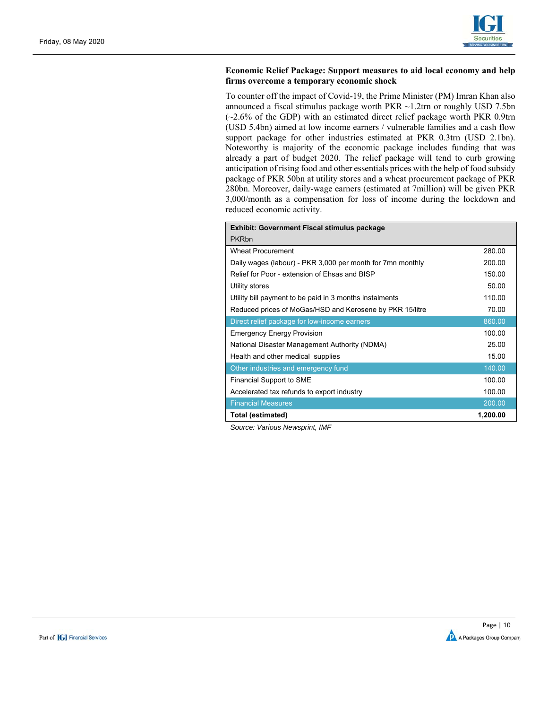

#### **Economic Relief Package: Support measures to aid local economy and help firms overcome a temporary economic shock**

To counter off the impact of Covid-19, the Prime Minister (PM) Imran Khan also announced a fiscal stimulus package worth PKR ~1.2trn or roughly USD 7.5bn (~2.6% of the GDP) with an estimated direct relief package worth PKR 0.9trn (USD 5.4bn) aimed at low income earners / vulnerable families and a cash flow support package for other industries estimated at PKR 0.3trn (USD 2.1bn). Noteworthy is majority of the economic package includes funding that was already a part of budget 2020. The relief package will tend to curb growing anticipation of rising food and other essentials prices with the help of food subsidy package of PKR 50bn at utility stores and a wheat procurement package of PKR 280bn. Moreover, daily-wage earners (estimated at 7million) will be given PKR 3,000/month as a compensation for loss of income during the lockdown and reduced economic activity.

| <b>Exhibit: Government Fiscal stimulus package</b>         |          |  |  |  |  |  |  |  |  |
|------------------------------------------------------------|----------|--|--|--|--|--|--|--|--|
| <b>PKRbn</b>                                               |          |  |  |  |  |  |  |  |  |
| <b>Wheat Procurement</b>                                   | 280.00   |  |  |  |  |  |  |  |  |
| Daily wages (labour) - PKR 3,000 per month for 7mn monthly | 200.00   |  |  |  |  |  |  |  |  |
| Relief for Poor - extension of Ehsas and BISP              | 150.00   |  |  |  |  |  |  |  |  |
| Utility stores                                             | 50.00    |  |  |  |  |  |  |  |  |
| Utility bill payment to be paid in 3 months instalments    | 110.00   |  |  |  |  |  |  |  |  |
| Reduced prices of MoGas/HSD and Kerosene by PKR 15/litre   | 70.00    |  |  |  |  |  |  |  |  |
| Direct relief package for low-income earners               | 860.00   |  |  |  |  |  |  |  |  |
| <b>Emergency Energy Provision</b>                          | 100.00   |  |  |  |  |  |  |  |  |
| National Disaster Management Authority (NDMA)              | 25.00    |  |  |  |  |  |  |  |  |
| Health and other medical supplies                          | 15.00    |  |  |  |  |  |  |  |  |
| Other industries and emergency fund                        | 140.00   |  |  |  |  |  |  |  |  |
| <b>Financial Support to SME</b>                            | 100.00   |  |  |  |  |  |  |  |  |
| Accelerated tax refunds to export industry                 | 100.00   |  |  |  |  |  |  |  |  |
| <b>Financial Measures</b>                                  | 200.00   |  |  |  |  |  |  |  |  |
| Total (estimated)                                          | 1,200.00 |  |  |  |  |  |  |  |  |

*Source: Various Newsprint, IMF* 



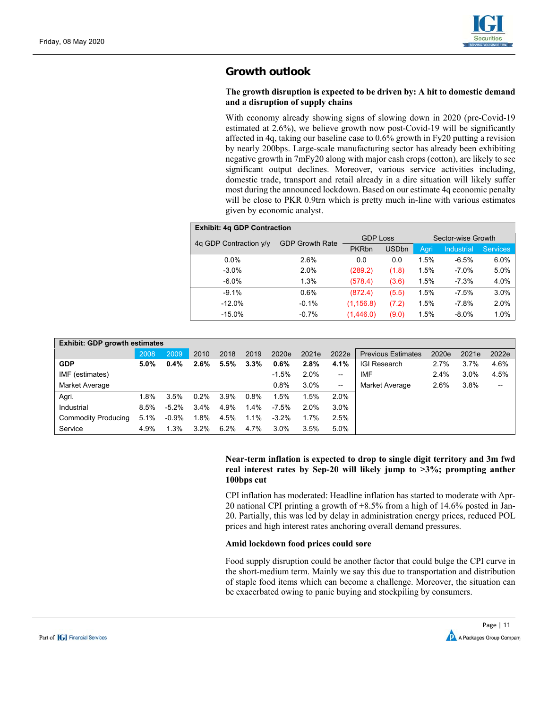

# **Growth outlook**

#### **The growth disruption is expected to be driven by: A hit to domestic demand and a disruption of supply chains**

With economy already showing signs of slowing down in 2020 (pre-Covid-19 estimated at 2.6%), we believe growth now post-Covid-19 will be significantly affected in 4q, taking our baseline case to 0.6% growth in Fy20 putting a revision by nearly 200bps. Large-scale manufacturing sector has already been exhibiting negative growth in 7mFy20 along with major cash crops (cotton), are likely to see significant output declines. Moreover, various service activities including, domestic trade, transport and retail already in a dire situation will likely suffer most during the announced lockdown. Based on our estimate 4q economic penalty will be close to PKR 0.9trn which is pretty much in-line with various estimates given by economic analyst.

| <b>Exhibit: 4g GDP Contraction</b> |                        |                 |              |                    |                   |                 |  |  |  |  |  |
|------------------------------------|------------------------|-----------------|--------------|--------------------|-------------------|-----------------|--|--|--|--|--|
| 4q GDP Contraction y/y             | <b>GDP Growth Rate</b> | <b>GDP</b> Loss |              | Sector-wise Growth |                   |                 |  |  |  |  |  |
|                                    |                        | <b>PKRbn</b>    | <b>USDbn</b> | Agri               | <b>Industrial</b> | <b>Services</b> |  |  |  |  |  |
| $0.0\%$                            | 2.6%                   | 0.0             | 0.0          | 1.5%               | $-6.5%$           | $6.0\%$         |  |  |  |  |  |
| $-3.0\%$                           | 2.0%                   | (289.2)         | (1.8)        | 1.5%               | $-7.0%$           | 5.0%            |  |  |  |  |  |
| $-6.0\%$                           | 1.3%                   | (578.4)         | (3.6)        | 1.5%               | $-7.3%$           | 4.0%            |  |  |  |  |  |
| $-9.1%$                            | 0.6%                   | (872.4)         | (5.5)        | 1.5%               | $-7.5%$           | 3.0%            |  |  |  |  |  |
| $-12.0%$                           | $-0.1%$                | (1, 156.8)      | (7.2)        | 1.5%               | $-7.8%$           | 2.0%            |  |  |  |  |  |
| $-15.0%$                           | $-0.7%$                | (1,446.0)       | (9.0)        | 1.5%               | $-8.0%$           | 1.0%            |  |  |  |  |  |

| <b>Exhibit: GDP growth estimates</b> |         |          |         |      |         |         |       |                          |                           |       |       |       |  |
|--------------------------------------|---------|----------|---------|------|---------|---------|-------|--------------------------|---------------------------|-------|-------|-------|--|
|                                      | 2008    | 2009     | 2010    | 2018 | 2019    | 2020e   | 2021e | 2022e                    | <b>Previous Estimates</b> | 2020e | 2021e | 2022e |  |
| <b>GDP</b>                           | $5.0\%$ | 0.4%     | $2.6\%$ | 5.5% | 3.3%    | 0.6%    | 2.8%  | 4.1%                     | <b>IGI Research</b>       | 2.7%  | 3.7%  | 4.6%  |  |
| IMF (estimates)                      |         |          |         |      |         | $-1.5%$ | 2.0%  | --                       | <b>IMF</b>                | 2.4%  | 3.0%  | 4.5%  |  |
| Market Average                       |         |          |         |      |         | 0.8%    | 3.0%  | $\overline{\phantom{a}}$ | Market Average            | 2.6%  | 3.8%  | --    |  |
| Agri.                                | 1.8%    | 3.5%     | $0.2\%$ | 3.9% | 0.8%    | 1.5%    | 1.5%  | 2.0%                     |                           |       |       |       |  |
| Industrial                           | 8.5%    | $-5.2\%$ | 3.4%    | 4.9% | 1.4%    | $-7.5%$ | 2.0%  | $3.0\%$                  |                           |       |       |       |  |
| <b>Commodity Producing</b>           | 5.1%    | $-0.9%$  | 1.8%    | 4.5% | $1.1\%$ | $-3.2%$ | 1.7%  | 2.5%                     |                           |       |       |       |  |
| Service                              | 4.9%    | 1.3%     | $3.2\%$ | 6.2% | 4.7%    | 3.0%    | 3.5%  | 5.0%                     |                           |       |       |       |  |

#### **Near-term inflation is expected to drop to single digit territory and 3m fwd real interest rates by Sep-20 will likely jump to >3%; prompting anther 100bps cut**

CPI inflation has moderated: Headline inflation has started to moderate with Apr-20 national CPI printing a growth of +8.5% from a high of 14.6% posted in Jan-20. Partially, this was led by delay in administration energy prices, reduced POL prices and high interest rates anchoring overall demand pressures.

#### **Amid lockdown food prices could sore**

Food supply disruption could be another factor that could bulge the CPI curve in the short-medium term. Mainly we say this due to transportation and distribution of staple food items which can become a challenge. Moreover, the situation can be exacerbated owing to panic buying and stockpiling by consumers.

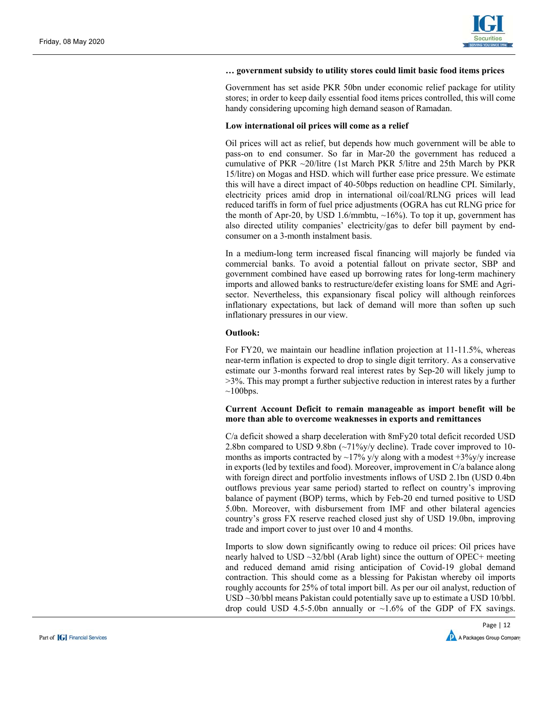

#### **… government subsidy to utility stores could limit basic food items prices**

Government has set aside PKR 50bn under economic relief package for utility stores; in order to keep daily essential food items prices controlled, this will come handy considering upcoming high demand season of Ramadan.

#### **Low international oil prices will come as a relief**

Oil prices will act as relief, but depends how much government will be able to pass-on to end consumer. So far in Mar-20 the government has reduced a cumulative of PKR ~20/litre (1st March PKR 5/litre and 25th March by PKR 15/litre) on Mogas and HSD. which will further ease price pressure. We estimate this will have a direct impact of 40-50bps reduction on headline CPI. Similarly, electricity prices amid drop in international oil/coal/RLNG prices will lead reduced tariffs in form of fuel price adjustments (OGRA has cut RLNG price for the month of Apr-20, by USD 1.6/mmbtu,  $~16\%$ ). To top it up, government has also directed utility companies' electricity/gas to defer bill payment by endconsumer on a 3-month instalment basis.

In a medium-long term increased fiscal financing will majorly be funded via commercial banks. To avoid a potential fallout on private sector, SBP and government combined have eased up borrowing rates for long-term machinery imports and allowed banks to restructure/defer existing loans for SME and Agrisector. Nevertheless, this expansionary fiscal policy will although reinforces inflationary expectations, but lack of demand will more than soften up such inflationary pressures in our view.

#### **Outlook:**

For FY20, we maintain our headline inflation projection at 11-11.5%, whereas near-term inflation is expected to drop to single digit territory. As a conservative estimate our 3-months forward real interest rates by Sep-20 will likely jump to >3%. This may prompt a further subjective reduction in interest rates by a further  $\sim$ 100bps.

#### **Current Account Deficit to remain manageable as import benefit will be more than able to overcome weaknesses in exports and remittances**

C/a deficit showed a sharp deceleration with 8mFy20 total deficit recorded USD 2.8bn compared to USD 9.8bn (~71%y/y decline). Trade cover improved to 10months as imports contracted by  $\sim$ 17% y/y along with a modest +3%y/y increase in exports (led by textiles and food). Moreover, improvement in C/a balance along with foreign direct and portfolio investments inflows of USD 2.1bn (USD 0.4bn outflows previous year same period) started to reflect on country's improving balance of payment (BOP) terms, which by Feb-20 end turned positive to USD 5.0bn. Moreover, with disbursement from IMF and other bilateral agencies country's gross FX reserve reached closed just shy of USD 19.0bn, improving trade and import cover to just over 10 and 4 months.

Imports to slow down significantly owing to reduce oil prices: Oil prices have nearly halved to USD ~32/bbl (Arab light) since the outturn of OPEC+ meeting and reduced demand amid rising anticipation of Covid-19 global demand contraction. This should come as a blessing for Pakistan whereby oil imports roughly accounts for 25% of total import bill. As per our oil analyst, reduction of USD ~30/bbl means Pakistan could potentially save up to estimate a USD 10/bbl. drop could USD 4.5-5.0bn annually or  $\sim$ 1.6% of the GDP of FX savings.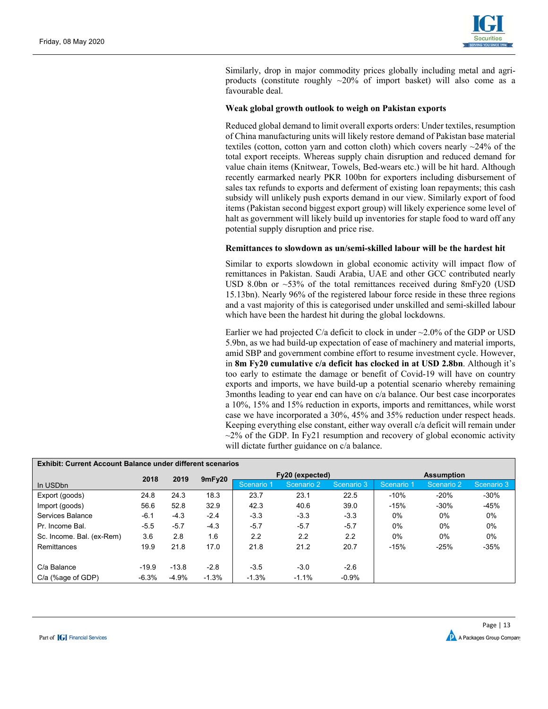

Similarly, drop in major commodity prices globally including metal and agriproducts (constitute roughly  $\sim 20\%$  of import basket) will also come as a favourable deal.

#### **Weak global growth outlook to weigh on Pakistan exports**

Reduced global demand to limit overall exports orders: Under textiles, resumption of China manufacturing units will likely restore demand of Pakistan base material textiles (cotton, cotton yarn and cotton cloth) which covers nearly  $\sim$ 24% of the total export receipts. Whereas supply chain disruption and reduced demand for value chain items (Knitwear, Towels, Bed-wears etc.) will be hit hard. Although recently earmarked nearly PKR 100bn for exporters including disbursement of sales tax refunds to exports and deferment of existing loan repayments; this cash subsidy will unlikely push exports demand in our view. Similarly export of food items (Pakistan second biggest export group) will likely experience some level of halt as government will likely build up inventories for staple food to ward off any potential supply disruption and price rise.

#### **Remittances to slowdown as un/semi-skilled labour will be the hardest hit**

Similar to exports slowdown in global economic activity will impact flow of remittances in Pakistan. Saudi Arabia, UAE and other GCC contributed nearly USD 8.0bn or  $\sim$  53% of the total remittances received during 8mFy20 (USD) 15.13bn). Nearly 96% of the registered labour force reside in these three regions and a vast majority of this is categorised under unskilled and semi-skilled labour which have been the hardest hit during the global lockdowns.

Earlier we had projected C/a deficit to clock in under  $\sim$ 2.0% of the GDP or USD 5.9bn, as we had build-up expectation of ease of machinery and material imports, amid SBP and government combine effort to resume investment cycle. However, in **8m Fy20 cumulative c/a deficit has clocked in at USD 2.8bn**. Although it's too early to estimate the damage or benefit of Covid-19 will have on country exports and imports, we have build-up a potential scenario whereby remaining 3months leading to year end can have on c/a balance. Our best case incorporates a 10%, 15% and 15% reduction in exports, imports and remittances, while worst case we have incorporated a 30%, 45% and 35% reduction under respect heads. Keeping everything else constant, either way overall c/a deficit will remain under  $\sim$ 2% of the GDP. In Fy21 resumption and recovery of global economic activity will dictate further guidance on c/a balance.

| <b>Exhibit: Current Account Balance under different scenarios</b> |              |         |         |            |                 |            |                   |            |            |  |  |  |
|-------------------------------------------------------------------|--------------|---------|---------|------------|-----------------|------------|-------------------|------------|------------|--|--|--|
|                                                                   | 2018<br>2019 |         | 9mFy20  |            | Fy20 (expected) |            | <b>Assumption</b> |            |            |  |  |  |
| In USD <sub>bn</sub>                                              |              |         |         | Scenario 1 | Scenario 2      | Scenario 3 | Scenario 1        | Scenario 2 | Scenario 3 |  |  |  |
| Export (goods)                                                    | 24.8         | 24.3    | 18.3    | 23.7       | 23.1            | 22.5       | $-10%$            | $-20%$     | $-30%$     |  |  |  |
| Import (goods)                                                    | 56.6         | 52.8    | 32.9    | 42.3       | 40.6            | 39.0       | $-15%$            | $-30%$     | -45%       |  |  |  |
| Services Balance                                                  | $-6.1$       | $-4.3$  | $-2.4$  | $-3.3$     | $-3.3$          | $-3.3$     | $0\%$             | $0\%$      | $0\%$      |  |  |  |
| Pr. Income Bal.                                                   | $-5.5$       | $-5.7$  | $-4.3$  | $-5.7$     | $-5.7$          | $-5.7$     | 0%                | 0%         | 0%         |  |  |  |
| Sc. Income. Bal. (ex-Rem)                                         | 3.6          | 2.8     | 1.6     | 2.2        | 2.2             | 2.2        | 0%                | $0\%$      | $0\%$      |  |  |  |
| Remittances                                                       | 19.9         | 21.8    | 17.0    | 21.8       | 21.2            | 20.7       | $-15%$            | $-25%$     | $-35%$     |  |  |  |
|                                                                   |              |         |         |            |                 |            |                   |            |            |  |  |  |
| C/a Balance                                                       | $-19.9$      | $-13.8$ | $-2.8$  | $-3.5$     | $-3.0$          | $-2.6$     |                   |            |            |  |  |  |
| C/a (%age of GDP)                                                 | $-6.3%$      | $-4.9%$ | $-1.3%$ | $-1.3%$    | $-1.1%$         | $-0.9%$    |                   |            |            |  |  |  |

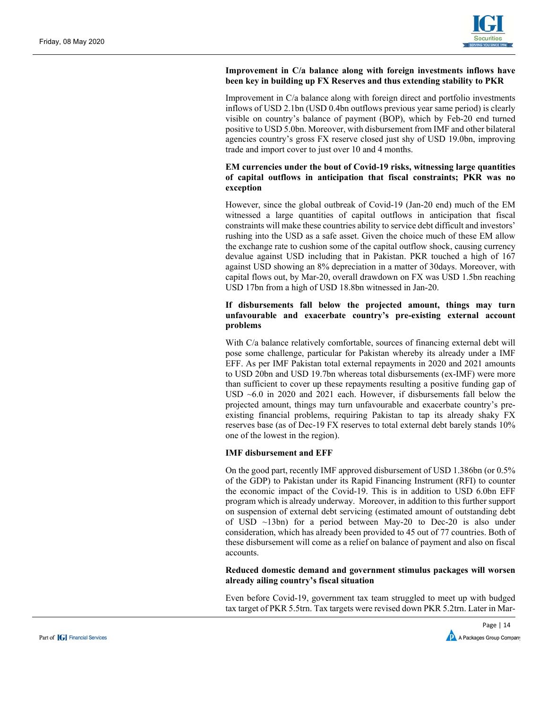

#### **Improvement in C/a balance along with foreign investments inflows have been key in building up FX Reserves and thus extending stability to PKR**

Improvement in C/a balance along with foreign direct and portfolio investments inflows of USD 2.1bn (USD 0.4bn outflows previous year same period) is clearly visible on country's balance of payment (BOP), which by Feb-20 end turned positive to USD 5.0bn. Moreover, with disbursement from IMF and other bilateral agencies country's gross FX reserve closed just shy of USD 19.0bn, improving trade and import cover to just over 10 and 4 months.

#### **EM currencies under the bout of Covid-19 risks, witnessing large quantities of capital outflows in anticipation that fiscal constraints; PKR was no exception**

However, since the global outbreak of Covid-19 (Jan-20 end) much of the EM witnessed a large quantities of capital outflows in anticipation that fiscal constraints will make these countries ability to service debt difficult and investors' rushing into the USD as a safe asset. Given the choice much of these EM allow the exchange rate to cushion some of the capital outflow shock, causing currency devalue against USD including that in Pakistan. PKR touched a high of 167 against USD showing an 8% depreciation in a matter of 30days. Moreover, with capital flows out, by Mar-20, overall drawdown on FX was USD 1.5bn reaching USD 17bn from a high of USD 18.8bn witnessed in Jan-20.

#### **If disbursements fall below the projected amount, things may turn unfavourable and exacerbate country's pre-existing external account problems**

With C/a balance relatively comfortable, sources of financing external debt will pose some challenge, particular for Pakistan whereby its already under a IMF EFF. As per IMF Pakistan total external repayments in 2020 and 2021 amounts to USD 20bn and USD 19.7bn whereas total disbursements (ex-IMF) were more than sufficient to cover up these repayments resulting a positive funding gap of USD ~6.0 in 2020 and 2021 each. However, if disbursements fall below the projected amount, things may turn unfavourable and exacerbate country's preexisting financial problems, requiring Pakistan to tap its already shaky FX reserves base (as of Dec-19 FX reserves to total external debt barely stands 10% one of the lowest in the region).

#### **IMF disbursement and EFF**

On the good part, recently IMF approved disbursement of USD 1.386bn (or 0.5% of the GDP) to Pakistan under its Rapid Financing Instrument (RFI) to counter the economic impact of the Covid-19. This is in addition to USD 6.0bn EFF program which is already underway. Moreover, in addition to this further support on suspension of external debt servicing (estimated amount of outstanding debt of USD ~13bn) for a period between May-20 to Dec-20 is also under consideration, which has already been provided to 45 out of 77 countries. Both of these disbursement will come as a relief on balance of payment and also on fiscal accounts.

**Reduced domestic demand and government stimulus packages will worsen already ailing country's fiscal situation** 

Even before Covid-19, government tax team struggled to meet up with budged tax target of PKR 5.5trn. Tax targets were revised down PKR 5.2trn. Later in Mar-

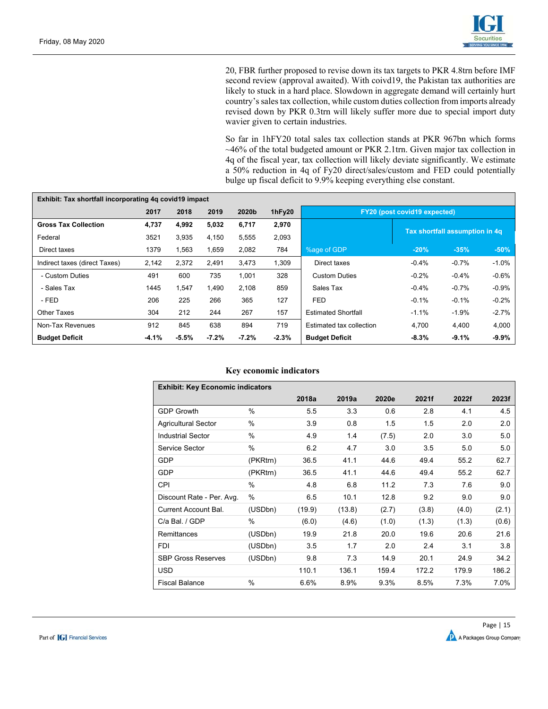

20, FBR further proposed to revise down its tax targets to PKR 4.8trn before IMF second review (approval awaited). With coivd19, the Pakistan tax authorities are likely to stuck in a hard place. Slowdown in aggregate demand will certainly hurt country's sales tax collection, while custom duties collection from imports already revised down by PKR 0.3trn will likely suffer more due to special import duty wavier given to certain industries.

So far in 1hFY20 total sales tax collection stands at PKR 967bn which forms ~46% of the total budgeted amount or PKR 2.1trn. Given major tax collection in 4q of the fiscal year, tax collection will likely deviate significantly. We estimate a 50% reduction in 4q of Fy20 direct/sales/custom and FED could potentially bulge up fiscal deficit to 9.9% keeping everything else constant.

| Exhibit: Tax shortfall incorporating 4g covid19 impact |         |         |         |          |         |                                     |                                |         |         |  |  |
|--------------------------------------------------------|---------|---------|---------|----------|---------|-------------------------------------|--------------------------------|---------|---------|--|--|
|                                                        | 2017    | 2018    | 2019    | 2020b    | 1hFy20  | <b>FY20 (post covid19 expected)</b> |                                |         |         |  |  |
| <b>Gross Tax Collection</b>                            | 4,737   | 4,992   | 5,032   | 6,717    | 2,970   |                                     | Tax shortfall assumption in 4q |         |         |  |  |
| Federal                                                | 3521    | 3,935   | 4,150   | 5,555    | 2,093   |                                     |                                |         |         |  |  |
| Direct taxes                                           | 1379    | 1,563   | 1,659   | 2,082    | 784     | %age of GDP                         | $-20%$                         | $-35%$  | $-50%$  |  |  |
| Indirect taxes (direct Taxes)                          | 2,142   | 2,372   | 2,491   | 3,473    | 1,309   | Direct taxes                        | $-0.4%$                        | $-0.7%$ | $-1.0%$ |  |  |
| - Custom Duties                                        | 491     | 600     | 735     | 1,001    | 328     | <b>Custom Duties</b>                | $-0.2%$                        | $-0.4%$ | $-0.6%$ |  |  |
| - Sales Tax                                            | 1445    | 1.547   | 1.490   | 2.108    | 859     | Sales Tax                           | $-0.4%$                        | $-0.7%$ | $-0.9%$ |  |  |
| - FED                                                  | 206     | 225     | 266     | 365      | 127     | <b>FED</b>                          | $-0.1%$                        | $-0.1%$ | $-0.2%$ |  |  |
| <b>Other Taxes</b>                                     | 304     | 212     | 244     | 267      | 157     | <b>Estimated Shortfall</b>          | $-1.1%$                        | $-1.9%$ | $-2.7%$ |  |  |
| Non-Tax Revenues                                       | 912     | 845     | 638     | 894      | 719     | Estimated tax collection            | 4.700                          | 4,400   | 4,000   |  |  |
| <b>Budget Deficit</b>                                  | $-4.1%$ | $-5.5%$ | $-7.2%$ | $-7.2\%$ | $-2.3%$ | <b>Budget Deficit</b>               | $-8.3%$                        | $-9.1%$ | $-9.9%$ |  |  |

#### **Key economic indicators**

| <b>Exhibit: Key Economic indicators</b> |               |        |        |       |       |       |       |  |  |  |  |  |
|-----------------------------------------|---------------|--------|--------|-------|-------|-------|-------|--|--|--|--|--|
|                                         |               | 2018a  | 2019a  | 2020e | 2021f | 2022f | 2023f |  |  |  |  |  |
| <b>GDP Growth</b>                       | $\%$          | 5.5    | 3.3    | 0.6   | 2.8   | 4.1   | 4.5   |  |  |  |  |  |
| <b>Agricultural Sector</b>              | %             | 3.9    | 0.8    | 1.5   | 1.5   | 2.0   | 2.0   |  |  |  |  |  |
| <b>Industrial Sector</b>                | $\%$          | 4.9    | 1.4    | (7.5) | 2.0   | 3.0   | 5.0   |  |  |  |  |  |
| Service Sector                          | $\%$          | 6.2    | 4.7    | 3.0   | 3.5   | 5.0   | 5.0   |  |  |  |  |  |
| GDP                                     | (PKRtrn)      | 36.5   | 41.1   | 44.6  | 49.4  | 55.2  | 62.7  |  |  |  |  |  |
| GDP                                     | (PKRtrn)      | 36.5   | 41.1   | 44.6  | 49.4  | 55.2  | 62.7  |  |  |  |  |  |
| <b>CPI</b>                              | $\%$          | 4.8    | 6.8    | 11.2  | 7.3   | 7.6   | 9.0   |  |  |  |  |  |
| Discount Rate - Per. Avg.               | %             | 6.5    | 10.1   | 12.8  | 9.2   | 9.0   | 9.0   |  |  |  |  |  |
| <b>Current Account Bal.</b>             | (USDbn)       | (19.9) | (13.8) | (2.7) | (3.8) | (4.0) | (2.1) |  |  |  |  |  |
| C/a Bal. / GDP                          | $\%$          | (6.0)  | (4.6)  | (1.0) | (1.3) | (1.3) | (0.6) |  |  |  |  |  |
| Remittances                             | (USDbn)       | 19.9   | 21.8   | 20.0  | 19.6  | 20.6  | 21.6  |  |  |  |  |  |
| <b>FDI</b>                              | (USDbn)       | 3.5    | 1.7    | 2.0   | 2.4   | 3.1   | 3.8   |  |  |  |  |  |
| <b>SBP Gross Reserves</b>               | (USDbn)       | 9.8    | 7.3    | 14.9  | 20.1  | 24.9  | 34.2  |  |  |  |  |  |
| USD                                     |               | 110.1  | 136.1  | 159.4 | 172.2 | 179.9 | 186.2 |  |  |  |  |  |
| <b>Fiscal Balance</b>                   | $\frac{0}{0}$ | 6.6%   | 8.9%   | 9.3%  | 8.5%  | 7.3%  | 7.0%  |  |  |  |  |  |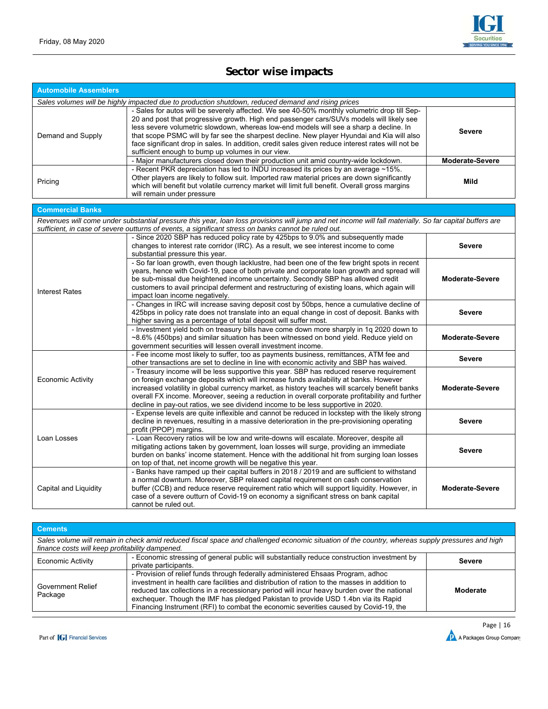# **Sector wise impacts**

| <b>Automobile Assemblers</b> |                                                                                                                                                                                                                                                                                                                                                                                                                                                                                                                                            |                        |
|------------------------------|--------------------------------------------------------------------------------------------------------------------------------------------------------------------------------------------------------------------------------------------------------------------------------------------------------------------------------------------------------------------------------------------------------------------------------------------------------------------------------------------------------------------------------------------|------------------------|
|                              | Sales volumes will be highly impacted due to production shutdown, reduced demand and rising prices                                                                                                                                                                                                                                                                                                                                                                                                                                         |                        |
| Demand and Supply            | - Sales for autos will be severely affected. We see 40-50% monthly volumetric drop till Sep-<br>20 and post that progressive growth. High end passenger cars/SUVs models will likely see<br>less severe volumetric slowdown, whereas low-end models will see a sharp a decline. In<br>that scope PSMC will by far see the sharpest decline. New player Hyundai and Kia will also<br>face significant drop in sales. In addition, credit sales given reduce interest rates will not be<br>sufficient enough to bump up volumes in our view. | Severe                 |
|                              | - Major manufacturers closed down their production unit amid country-wide lockdown.                                                                                                                                                                                                                                                                                                                                                                                                                                                        | <b>Moderate-Severe</b> |
| Pricing                      | - Recent PKR depreciation has led to INDU increased its prices by an average ~15%.<br>Other players are likely to follow suit. Imported raw material prices are down significantly<br>which will benefit but volatile currency market will limit full benefit. Overall gross margins<br>will remain under pressure                                                                                                                                                                                                                         | Mild                   |
| <b>Commercial Banks</b>      |                                                                                                                                                                                                                                                                                                                                                                                                                                                                                                                                            |                        |
|                              | Revenues will come under substantial pressure this year, loan loss provisions will jump and net income will fall materially. So far capital buffers are                                                                                                                                                                                                                                                                                                                                                                                    |                        |
|                              | sufficient, in case of severe outturns of events, a significant stress on banks cannot be ruled out.                                                                                                                                                                                                                                                                                                                                                                                                                                       |                        |
|                              | - Since 2020 SBP has reduced policy rate by 425bps to 9.0% and subsequently made<br>changes to interest rate corridor (IRC). As a result, we see interest income to come<br>substantial pressure this year.                                                                                                                                                                                                                                                                                                                                | <b>Severe</b>          |
| <b>Interest Rates</b>        | - So far loan growth, even though lacklustre, had been one of the few bright spots in recent<br>years, hence with Covid-19, pace of both private and corporate loan growth and spread will<br>be sub-missal due heightened income uncertainty. Secondly SBP has allowed credit<br>customers to avail principal deferment and restructuring of existing loans, which again will<br>impact loan income negatively.                                                                                                                           | <b>Moderate-Severe</b> |
|                              | - Changes in IRC will increase saving deposit cost by 50bps, hence a cumulative decline of<br>425bps in policy rate does not translate into an equal change in cost of deposit. Banks with<br>higher saving as a percentage of total deposit will suffer most.                                                                                                                                                                                                                                                                             | <b>Severe</b>          |
|                              | - Investment yield both on treasury bills have come down more sharply in 1q 2020 down to<br>~8.6% (450bps) and similar situation has been witnessed on bond yield. Reduce yield on<br>government securities will lessen overall investment income.                                                                                                                                                                                                                                                                                         | <b>Moderate-Severe</b> |
|                              | - Fee income most likely to suffer, too as payments business, remittances, ATM fee and<br>other transactions are set to decline in line with economic activity and SBP has waived.                                                                                                                                                                                                                                                                                                                                                         | <b>Severe</b>          |
| <b>Economic Activity</b>     | - Treasury income will be less supportive this year. SBP has reduced reserve requirement<br>on foreign exchange deposits which will increase funds availability at banks. However<br>increased volatility in global currency market, as history teaches will scarcely benefit banks<br>overall FX income. Moreover, seeing a reduction in overall corporate profitability and further<br>decline in pay-out ratios, we see dividend income to be less supportive in 2020.                                                                  | <b>Moderate-Severe</b> |
|                              | - Expense levels are quite inflexible and cannot be reduced in lockstep with the likely strong<br>decline in revenues, resulting in a massive deterioration in the pre-provisioning operating<br>profit (PPOP) margins.                                                                                                                                                                                                                                                                                                                    | <b>Severe</b>          |
| Loan Losses                  | - Loan Recovery ratios will be low and write-downs will escalate. Moreover, despite all<br>mitigating actions taken by government, loan losses will surge, providing an immediate<br>burden on banks' income statement. Hence with the additional hit from surging loan losses<br>on top of that, net income growth will be negative this year.                                                                                                                                                                                            | <b>Severe</b>          |
| Capital and Liquidity        | - Banks have ramped up their capital buffers in 2018 / 2019 and are sufficient to withstand<br>a normal downturn. Moreover, SBP relaxed capital requirement on cash conservation<br>buffer (CCB) and reduce reserve requirement ratio which will support liquidity. However, in<br>case of a severe outturn of Covid-19 on economy a significant stress on bank capital<br>cannot be ruled out.                                                                                                                                            | <b>Moderate-Severe</b> |

#### **Cements**  *Sales volume will remain in check amid reduced fiscal space and challenged economic situation of the country, whereas supply pressures and high finance costs will keep profitability dampened.*  Economic Activity - Economic stressing of general public will substantially reduce construction investment by private participants. **Severe**  Government Relief Package - Provision of relief funds through federally administered Ehsaas Program, adhoc investment in health care facilities and distribution of ration to the masses in addition to reduced tax collections in a recessionary period will incur heavy burden over the national exchequer. Though the IMF has pledged Pakistan to provide USD 1.4bn via its Rapid Financing Instrument (RFI) to combat the economic severities caused by Covid-19, the **Moderate**

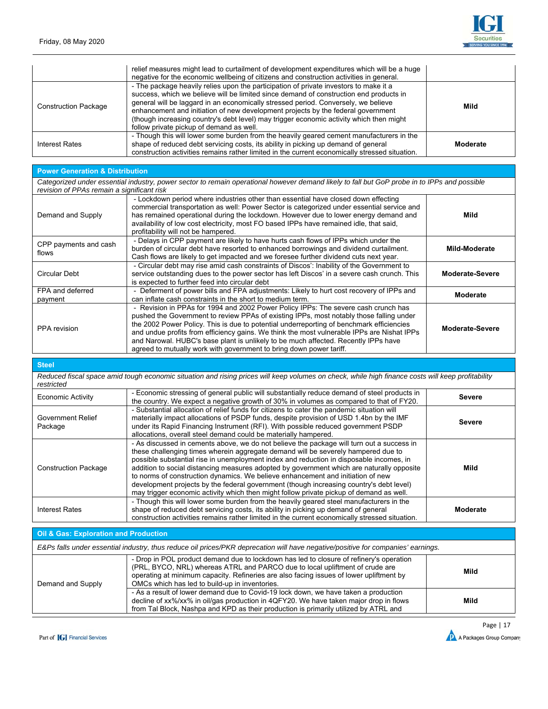

|                             | relief measures might lead to curtailment of development expenditures which will be a huge<br>negative for the economic wellbeing of citizens and construction activities in general.                                                                                                                                                                                                                                                                                                            |          |
|-----------------------------|--------------------------------------------------------------------------------------------------------------------------------------------------------------------------------------------------------------------------------------------------------------------------------------------------------------------------------------------------------------------------------------------------------------------------------------------------------------------------------------------------|----------|
| <b>Construction Package</b> | - The package heavily relies upon the participation of private investors to make it a<br>success, which we believe will be limited since demand of construction end products in<br>general will be laggard in an economically stressed period. Conversely, we believe<br>enhancement and initiation of new development projects by the federal government<br>(though increasing country's debt level) may trigger economic activity which then might<br>follow private pickup of demand as well. | Mild     |
| Interest Rates              | - Though this will lower some burden from the heavily geared cement manufacturers in the<br>shape of reduced debt servicing costs, its ability in picking up demand of general<br>construction activities remains rather limited in the current economically stressed situation.                                                                                                                                                                                                                 | Moderate |

#### **Power Generation & Distribution**

*Categorized under essential industry, power sector to remain operational however demand likely to fall but GoP probe in to IPPs and possible revision of PPAs remain a significant risk* 

| Demand and Supply              | - Lockdown period where industries other than essential have closed down effecting<br>commercial transportation as well: Power Sector is categorized under essential service and<br>has remained operational during the lockdown. However due to lower energy demand and<br>availability of low cost electricity, most FO based IPPs have remained idle, that said,<br>profitability will not be hampered.                                                                                                                           | Mild            |
|--------------------------------|--------------------------------------------------------------------------------------------------------------------------------------------------------------------------------------------------------------------------------------------------------------------------------------------------------------------------------------------------------------------------------------------------------------------------------------------------------------------------------------------------------------------------------------|-----------------|
| CPP payments and cash<br>flows | - Delays in CPP payment are likely to have hurts cash flows of IPPs which under the<br>burden of circular debt have resorted to enhanced borrowings and dividend curtailment.<br>Cash flows are likely to get impacted and we foresee further dividend cuts next year.                                                                                                                                                                                                                                                               | Mild-Moderate   |
| Circular Debt                  | - Circular debt may rise amid cash constraints of Discos': Inability of the Government to<br>service outstanding dues to the power sector has left Discos' in a severe cash crunch. This<br>is expected to further feed into circular debt                                                                                                                                                                                                                                                                                           | Moderate-Severe |
| FPA and deferred<br>payment    | - Deferment of power bills and FPA adjustments: Likely to hurt cost recovery of IPPs and<br>can inflate cash constraints in the short to medium term.                                                                                                                                                                                                                                                                                                                                                                                | <b>Moderate</b> |
| PPA revision                   | - Revision in PPAs for 1994 and 2002 Power Policy IPPs: The severe cash crunch has<br>pushed the Government to review PPAs of existing IPPs, most notably those falling under<br>the 2002 Power Policy. This is due to potential underreporting of benchmark efficiencies<br>and undue profits from efficiency gains. We think the most vulnerable IPPs are Nishat IPPs<br>and Narowal. HUBC's base plant is unlikely to be much affected. Recently IPPs have<br>agreed to mutually work with government to bring down power tariff. | Moderate-Severe |

# **Steel**

*Reduced fiscal space amid tough economic situation and rising prices will keep volumes on check, while high finance costs will keep profitability restricted* 

| <b>Economic Activity</b>            | - Economic stressing of general public will substantially reduce demand of steel products in<br>the country. We expect a negative growth of 30% in volumes as compared to that of FY20.                                                                                                                                                                                                                                                                                                                                                                                                                                                         | <b>Severe</b> |
|-------------------------------------|-------------------------------------------------------------------------------------------------------------------------------------------------------------------------------------------------------------------------------------------------------------------------------------------------------------------------------------------------------------------------------------------------------------------------------------------------------------------------------------------------------------------------------------------------------------------------------------------------------------------------------------------------|---------------|
| <b>Government Relief</b><br>Package | - Substantial allocation of relief funds for citizens to cater the pandemic situation will<br>materially impact allocations of PSDP funds, despite provision of USD 1.4bn by the IMF<br>under its Rapid Financing Instrument (RFI). With possible reduced government PSDP<br>allocations, overall steel demand could be materially hampered.                                                                                                                                                                                                                                                                                                    | <b>Severe</b> |
| <b>Construction Package</b>         | - As discussed in cements above, we do not believe the package will turn out a success in<br>these challenging times wherein aggregate demand will be severely hampered due to<br>possible substantial rise in unemployment index and reduction in disposable incomes, in<br>addition to social distancing measures adopted by government which are naturally opposite<br>to norms of construction dynamics. We believe enhancement and initiation of new<br>development projects by the federal government (though increasing country's debt level)<br>may trigger economic activity which then might follow private pickup of demand as well. | Mild          |
| <b>Interest Rates</b>               | - Though this will lower some burden from the heavily geared steel manufacturers in the<br>shape of reduced debt servicing costs, its ability in picking up demand of general<br>construction activities remains rather limited in the current economically stressed situation.                                                                                                                                                                                                                                                                                                                                                                 | Moderate      |

#### **Oil & Gas: Exploration and Production**

|                   | E&Ps falls under essential industry, thus reduce oil prices/PKR deprecation will have negative/positive for companies' earnings.                                                                                                                                                                                     |      |
|-------------------|----------------------------------------------------------------------------------------------------------------------------------------------------------------------------------------------------------------------------------------------------------------------------------------------------------------------|------|
| Demand and Supply | - Drop in POL product demand due to lockdown has led to closure of refinery's operation<br>(PRL, BYCO, NRL) whereas ATRL and PARCO due to local upliftment of crude are<br>operating at minimum capacity. Refineries are also facing issues of lower upliftment by<br>OMCs which has led to build-up in inventories. | Mild |
|                   | - As a result of lower demand due to Covid-19 lock down, we have taken a production<br>decline of xx%/xx% in oil/gas production in 4QFY20. We have taken major drop in flows<br>from Tal Block, Nashpa and KPD as their production is primarily utilized by ATRL and                                                 | Mild |

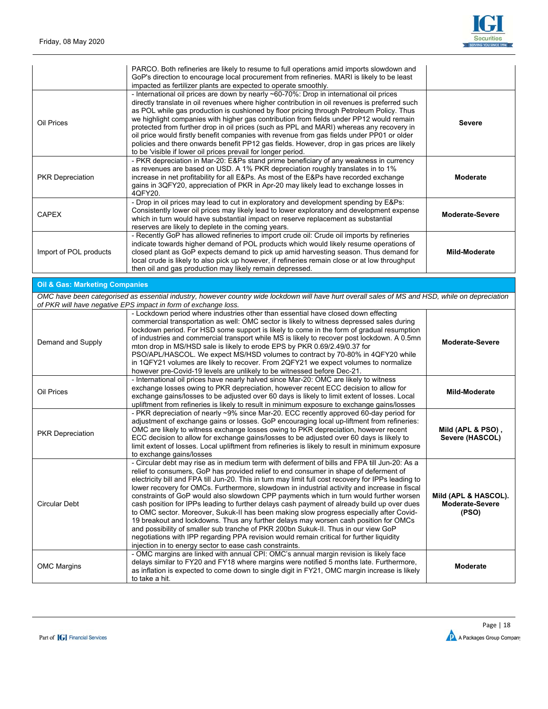

|                         | PARCO. Both refineries are likely to resume to full operations amid imports slowdown and<br>GoP's direction to encourage local procurement from refineries. MARI is likely to be least<br>impacted as fertilizer plants are expected to operate smoothly.                                                                                                                                                                                                                                                                                                                                                                                                                                                                                 |                 |
|-------------------------|-------------------------------------------------------------------------------------------------------------------------------------------------------------------------------------------------------------------------------------------------------------------------------------------------------------------------------------------------------------------------------------------------------------------------------------------------------------------------------------------------------------------------------------------------------------------------------------------------------------------------------------------------------------------------------------------------------------------------------------------|-----------------|
| Oil Prices              | - International oil prices are down by nearly ~60-70%: Drop in international oil prices<br>directly translate in oil revenues where higher contribution in oil revenues is preferred such<br>as POL while gas production is cushioned by floor pricing through Petroleum Policy. Thus<br>we highlight companies with higher gas contribution from fields under PP12 would remain<br>protected from further drop in oil prices (such as PPL and MARI) whereas any recovery in<br>oil price would firstly benefit companies with revenue from gas fields under PP01 or older<br>policies and there onwards benefit PP12 gas fields. However, drop in gas prices are likely<br>to be 'visible if lower oil prices prevail for longer period. | <b>Severe</b>   |
| <b>PKR Depreciation</b> | - PKR depreciation in Mar-20: E&Ps stand prime beneficiary of any weakness in currency<br>as revenues are based on USD. A 1% PKR depreciation roughly translates in to 1%<br>increase in net profitability for all E&Ps. As most of the E&Ps have recorded exchange<br>gains in 3QFY20, appreciation of PKR in Apr-20 may likely lead to exchange losses in<br>40FY20.                                                                                                                                                                                                                                                                                                                                                                    | Moderate        |
| <b>CAPEX</b>            | - Drop in oil prices may lead to cut in exploratory and development spending by E&Ps:<br>Consistently lower oil prices may likely lead to lower exploratory and development expense<br>which in turn would have substantial impact on reserve replacement as substantial<br>reserves are likely to deplete in the coming years.                                                                                                                                                                                                                                                                                                                                                                                                           | Moderate-Severe |
| Import of POL products  | - Recently GoP has allowed refineries to import crude oil: Crude oil imports by refineries<br>indicate towards higher demand of POL products which would likely resume operations of<br>closed plant as GoP expects demand to pick up amid harvesting season. Thus demand for<br>local crude is likely to also pick up however, if refineries remain close or at low throughput<br>then oil and gas production may likely remain depressed.                                                                                                                                                                                                                                                                                               | Mild-Moderate   |

| <b>Oil &amp; Gas: Marketing Companies</b> |                                                                                                                                                                                                                                                                                                                                                                                                                                                                                                                                                                                                                                                                                                                                                                                                                                                                                                                                                                                                                       |                                                  |
|-------------------------------------------|-----------------------------------------------------------------------------------------------------------------------------------------------------------------------------------------------------------------------------------------------------------------------------------------------------------------------------------------------------------------------------------------------------------------------------------------------------------------------------------------------------------------------------------------------------------------------------------------------------------------------------------------------------------------------------------------------------------------------------------------------------------------------------------------------------------------------------------------------------------------------------------------------------------------------------------------------------------------------------------------------------------------------|--------------------------------------------------|
|                                           | OMC have been categorised as essential industry, however country wide lockdown will have hurt overall sales of MS and HSD, while on depreciation<br>of PKR will have negative EPS impact in form of exchange loss.                                                                                                                                                                                                                                                                                                                                                                                                                                                                                                                                                                                                                                                                                                                                                                                                    |                                                  |
| Demand and Supply                         | - Lockdown period where industries other than essential have closed down effecting<br>commercial transportation as well: OMC sector is likely to witness depressed sales during<br>lockdown period. For HSD some support is likely to come in the form of gradual resumption<br>of industries and commercial transport while MS is likely to recover post lockdown. A 0.5mn<br>mton drop in MS/HSD sale is likely to erode EPS by PKR 0.69/2.49/0.37 for<br>PSO/APL/HASCOL. We expect MS/HSD volumes to contract by 70-80% in 4QFY20 while<br>in 1QFY21 volumes are likely to recover. From 2QFY21 we expect volumes to normalize<br>however pre-Covid-19 levels are unlikely to be witnessed before Dec-21.                                                                                                                                                                                                                                                                                                          | <b>Moderate-Severe</b>                           |
| Oil Prices                                | - International oil prices have nearly halved since Mar-20: OMC are likely to witness<br>exchange losses owing to PKR depreciation, however recent ECC decision to allow for<br>exchange gains/losses to be adjusted over 60 days is likely to limit extent of losses. Local<br>upliftment from refineries is likely to result in minimum exposure to exchange gains/losses                                                                                                                                                                                                                                                                                                                                                                                                                                                                                                                                                                                                                                           | <b>Mild-Moderate</b>                             |
| <b>PKR Depreciation</b>                   | - PKR depreciation of nearly ~9% since Mar-20. ECC recently approved 60-day period for<br>adjustment of exchange gains or losses. GoP encouraging local up-liftment from refineries:<br>OMC are likely to witness exchange losses owing to PKR depreciation, however recent<br>ECC decision to allow for exchange gains/losses to be adjusted over 60 days is likely to<br>limit extent of losses. Local upliftment from refineries is likely to result in minimum exposure<br>to exchange gains/losses                                                                                                                                                                                                                                                                                                                                                                                                                                                                                                               | Mild (APL & PSO),<br>Severe (HASCOL)             |
| <b>Circular Debt</b>                      | - Circular debt may rise as in medium term with deferment of bills and FPA till Jun-20: As a<br>relief to consumers, GoP has provided relief to end consumer in shape of deferment of<br>electricity bill and FPA till Jun-20. This in turn may limit full cost recovery for IPPs leading to<br>lower recovery for OMCs. Furthermore, slowdown in industrial activity and increase in fiscal<br>constraints of GoP would also slowdown CPP payments which in turn would further worsen<br>cash position for IPPs leading to further delays cash payment of already build up over dues<br>to OMC sector. Moreover, Sukuk-II has been making slow progress especially after Covid-<br>19 breakout and lockdowns. Thus any further delays may worsen cash position for OMCs<br>and possibility of smaller sub tranche of PKR 200bn Sukuk-II. Thus in our view GoP<br>negotiations with IPP regarding PPA revision would remain critical for further liquidity<br>injection in to energy sector to ease cash constraints. | Mild (APL & HASCOL).<br>Moderate-Severe<br>(PSO) |
| <b>OMC Margins</b>                        | - OMC margins are linked with annual CPI: OMC's annual margin revision is likely face<br>delays similar to FY20 and FY18 where margins were notified 5 months late. Furthermore,<br>as inflation is expected to come down to single digit in FY21, OMC margin increase is likely                                                                                                                                                                                                                                                                                                                                                                                                                                                                                                                                                                                                                                                                                                                                      | <b>Moderate</b>                                  |

to take a hit.

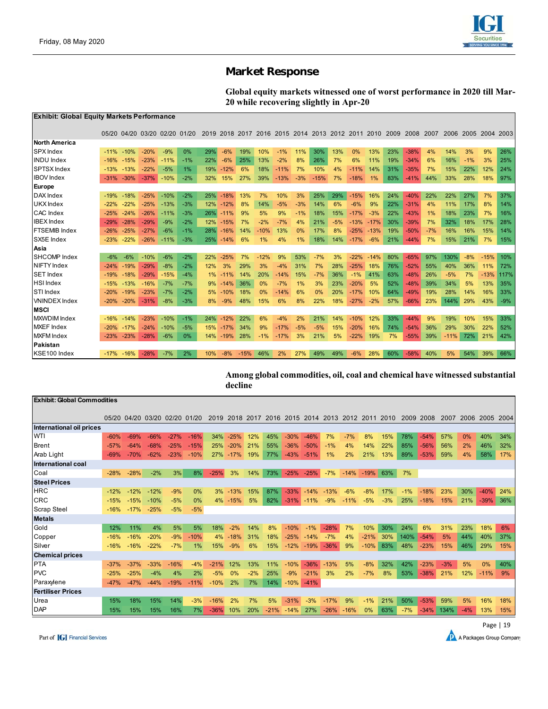

# **Market Response**

**Global equity markets witnessed one of worst performance in 2020 till Mar-20 while recovering slightly in Apr-20** 

| Exhibit: Global Equity Markets Performance |        |                               |        |        |       |     |        |        |        |        |       |                                                        |       |        |               |     |        |       |        |           |        |       |
|--------------------------------------------|--------|-------------------------------|--------|--------|-------|-----|--------|--------|--------|--------|-------|--------------------------------------------------------|-------|--------|---------------|-----|--------|-------|--------|-----------|--------|-------|
|                                            |        | 05/20 04/20 03/20 02/20 01/20 |        |        |       |     |        |        |        |        |       | 2019 2018 2017 2016 2015 2014 2013 2012 2011 2010 2009 |       |        |               |     | 2008   | 2007  | 2006   | 2005 2004 |        | 2003  |
| <b>North America</b>                       |        |                               |        |        |       |     |        |        |        |        |       |                                                        |       |        |               |     |        |       |        |           |        |       |
| <b>SPX</b> Index                           | $-11%$ | $-10%$                        | $-20%$ | $-9%$  | 0%    | 29% | $-6%$  | 19%    | 10%    | $-1%$  | 11%   | 30%                                                    | 13%   | 0%     | 13%           | 23% | $-38%$ | 4%    | 14%    | 3%        | 9%     | 26%   |
| <b>INDU Index</b>                          | $-16%$ | $-15%$                        | $-23%$ | $-11%$ | $-1%$ | 22% | $-6%$  | 25%    | 13%    | $-2%$  | 8%    | 26%                                                    | 7%    | 6%     | 11%           | 19% | $-34%$ | 6%    | 16%    | $-1%$     | 3%     | 25%   |
| SPTSX Index                                |        | $-13\% -13\%$                 | $-22%$ | $-5%$  | 1%    | 19% | $-12%$ | 6%     | 18%    | $-11%$ | 7%    | 10%                                                    | 4%    | $-11%$ | 14%           | 31% | $-35%$ | 7%    | 15%    | 22%       | 12%    | 24%   |
| <b>IBOV</b> Index                          | $-31%$ | $-30%$                        | $-37%$ | $-10%$ | $-2%$ | 32% | 15%    | 27%    | 39%    | $-13%$ | $-3%$ | $-15%$                                                 | 7%    | $-18%$ | 1%            | 83% | $-41%$ | 44%   | 33%    | 28%       | 18%    | 97%   |
| Europe                                     |        |                               |        |        |       |     |        |        |        |        |       |                                                        |       |        |               |     |        |       |        |           |        |       |
| DAX Index                                  | $-19%$ | $-18%$                        | $-25%$ | $-10%$ | $-2%$ | 25% | $-18%$ | 13%    | 7%     | 10%    | 3%    | 25%                                                    | 29%   | $-15%$ | 16%           | 24% | $-40%$ | 22%   | 22%    | 27%       | 7%     | 37%   |
| <b>UKX</b> Index                           | $-22%$ | $-22%$                        | $-25%$ | $-13%$ | $-3%$ | 12% | $-12%$ | 8%     | 14%    | $-5%$  | $-3%$ | 14%                                                    | 6%    | $-6%$  | 9%            | 22% | $-31%$ | 4%    | 11%    | 17%       | 8%     | 14%   |
| <b>CAC</b> Index                           | $-25%$ | $-24%$                        | $-26%$ | $-11%$ | $-3%$ | 26% | $-11%$ | 9%     | 5%     | 9%     | $-1%$ | 18%                                                    | 15%   | $-17%$ | $-3%$         | 22% | $-43%$ | 1%    | 18%    | 23%       | 7%     | 16%   |
| <b>IBEX</b> Index                          | $-29%$ | $-28%$                        | $-29%$ | $-9%$  | $-2%$ | 12% | $-15%$ | 7%     | $-2%$  | $-7%$  | 4%    | 21%                                                    | $-5%$ | $-13%$ | $-17%$        | 30% | $-39%$ | 7%    | 32%    | 18%       | 17%    | 28%   |
| <b>FTSEMIB</b> Index                       | $-26%$ | $-25%$                        | $-27%$ | $-6%$  | $-1%$ | 28% | $-16%$ | 14%    | $-10%$ | 13%    | 0%    | 17%                                                    | 8%    |        | $-25\% -13\%$ | 19% | $-50%$ | $-7%$ | 16%    | 16%       | 15%    | 14%   |
| SX5E Index                                 | $-23%$ |                               | $-26%$ | $-11%$ | $-3%$ | 25% | $-14%$ | 6%     | 1%     | 4%     | $1\%$ | 18%                                                    | 14%   | $-17%$ | $-6%$         | 21% | $-44%$ | 7%    | 15%    | 21%       | 7%     | 15%   |
| Asia                                       |        |                               |        |        |       |     |        |        |        |        |       |                                                        |       |        |               |     |        |       |        |           |        |       |
| <b>SHCOMP</b> Index                        | $-6%$  | $-6%$                         | $-10%$ | $-6%$  | $-2%$ | 22% | $-25%$ | 7%     | $-12%$ | 9%     | 53%   | $-7%$                                                  | 3%    | $-22%$ | $-14%$        | 80% | $-65%$ | 97%   | 130%   | $-8%$     | $-15%$ | 10%   |
| <b>NIFTY</b> Index                         | $-24%$ | $-19%$                        | $-29%$ | $-8%$  | $-2%$ | 12% | 3%     | 29%    | 3%     | $-4%$  | 31%   | 7%                                                     | 28%   | $-25%$ | 18%           | 76% | $-52%$ | 55%   | 40%    | 36%       | 11%    | 72%   |
| <b>SET Index</b>                           | $-19%$ | $-18%$                        | $-29%$ | $-15%$ | $-4%$ | 1%  | $-11%$ | 14%    | 20%    | $-14%$ | 15%   | $-7%$                                                  | 36%   | $-1%$  | 41%           | 63% | $-48%$ | 26%   | $-5%$  | 7%        | $-13%$ | 117%  |
| <b>HSI</b> Index                           | $-15%$ | $-13%$                        | $-16%$ | $-7%$  | $-7%$ | 9%  | $-14%$ | 36%    | 0%     | $-7%$  | 1%    | 3%                                                     | 23%   | $-20%$ | 5%            | 52% | $-48%$ | 39%   | 34%    | 5%        | 13%    | 35%   |
| <b>STI</b> Index                           | $-20%$ | $-19%$                        | $-23%$ | $-7%$  | $-2%$ | 5%  | $-10%$ | 18%    | 0%     | $-14%$ | 6%    | 0%                                                     | 20%   | $-17%$ | 10%           | 64% | $-49%$ | 19%   | 28%    | 14%       | 16%    | 33%   |
| <b>VNINDEX</b> Index                       | $-20%$ | $-20%$                        | $-31%$ | $-8%$  | $-3%$ | 8%  | $-9%$  | 48%    | 15%    | 6%     | 8%    | 22%                                                    | 18%   | $-27%$ | $-2%$         | 57% | $-66%$ | 23%   | 144%   | 29%       | 43%    | $-9%$ |
| <b>MSCI</b>                                |        |                               |        |        |       |     |        |        |        |        |       |                                                        |       |        |               |     |        |       |        |           |        |       |
| MXWDIM Index                               | $-16%$ | $-14%$                        | $-23%$ | $-10%$ | $-1%$ | 24% | $-12%$ | 22%    | 6%     | $-4%$  | 2%    | 21%                                                    | 14%   | $-10%$ | 12%           | 33% | $-44%$ | 9%    | 19%    | 10%       | 15%    | 33%   |
| <b>MXEF</b> Index                          | $-20%$ | $-17%$                        | $-24%$ | $-10%$ | $-5%$ | 15% | $-17%$ | 34%    | 9%     | $-17%$ | $-5%$ | $-5%$                                                  | 15%   | $-20%$ | 16%           | 74% | $-54%$ | 36%   | 29%    | 30%       | 22%    | 52%   |
| <b>MXFM</b> Index                          | $-23%$ | $-23%$                        | $-28%$ | $-6%$  | $0\%$ | 14% | $-19%$ | 28%    | $-1%$  | $-17%$ | 3%    | 21%                                                    | 5%    | $-22%$ | 19%           | 7%  | $-55%$ | 39%   | $-11%$ | 72%       | 21%    | 42%   |
| Pakistan                                   |        |                               |        |        |       |     |        |        |        |        |       |                                                        |       |        |               |     |        |       |        |           |        |       |
| KSE100 Index                               | $-17%$ | $-16%$                        | $-28%$ | $-7%$  | 2%    | 10% | $-8%$  | $-15%$ | 46%    | 2%     | 27%   | 49%                                                    | 49%   | $-6%$  | 28%           | 60% | $-58%$ | 40%   | 5%     | 54%       | 39%    | 66%   |

**Among global commodities, oil, coal and chemical have witnessed substantial decline** 

| <b>Exhibit: Global Commodities</b> |        |        |        |        |        |        |         |       |      |        |        |        |        |        |       |       |        |       |       |        |      |
|------------------------------------|--------|--------|--------|--------|--------|--------|---------|-------|------|--------|--------|--------|--------|--------|-------|-------|--------|-------|-------|--------|------|
|                                    |        |        |        |        |        |        |         |       |      |        |        |        |        |        |       |       |        |       |       |        |      |
|                                    | 05/20  | 04/20  | 03/20  | 02/20  | 01/20  | 2019   | 2018    | 2017  | 2016 | 2015   | 2014   | 2013   | 2012   | 2011   | 2010  | 2009  | 2008   | 2007  | 2006  | 2005   | 2004 |
| International oil prices           |        |        |        |        |        |        |         |       |      |        |        |        |        |        |       |       |        |       |       |        |      |
| <b>WTI</b>                         | $-60%$ | $-69%$ | $-66%$ | $-27%$ | $-16%$ | 34%    | $-25%$  | 12%   | 45%  | $-30%$ | $-46%$ | 7%     | $-7%$  | 8%     | 15%   | 78%   | $-54%$ | 57%   | 0%    | 40%    | 34%  |
| Brent                              | $-57%$ | $-64%$ | $-68%$ | $-25%$ | $-15%$ | 25%    | $-20%$  | 21%   | 55%  | $-36%$ | $-50%$ | $-1%$  | 4%     | 14%    | 22%   | 85%   | $-56%$ | 56%   | 2%    | 46%    | 32%  |
| Arab Light                         | $-69%$ | $-70%$ | $-62%$ | $-23%$ | $-10%$ | 27%    | $-17%$  | 19%   | 77%  | $-43%$ | $-51%$ | 1%     | 2%     | 21%    | 13%   | 89%   | $-53%$ | 59%   | 4%    | 58%    | 17%  |
| International coal                 |        |        |        |        |        |        |         |       |      |        |        |        |        |        |       |       |        |       |       |        |      |
| Coal                               | $-28%$ | $-28%$ | $-2%$  | 3%     | 8%     | $-25%$ | 3%      | 14%   | 73%  | $-25%$ | $-25%$ | $-7%$  | $-14%$ | $-19%$ | 63%   | 7%    |        |       |       |        |      |
| <b>Steel Prices</b>                |        |        |        |        |        |        |         |       |      |        |        |        |        |        |       |       |        |       |       |        |      |
| <b>HRC</b>                         | $-12%$ | $-12%$ | $-12%$ | $-9%$  | 0%     | 3%     | $-13%$  | 15%   | 87%  | $-33%$ | $-14%$ | $-13%$ | $-6%$  | $-8%$  | 17%   | $-1%$ | $-18%$ | 23%   | 30%   | $-40%$ | 24%  |
| <b>CRC</b>                         | $-15%$ | $-15%$ | $-10%$ | $-5%$  | 0%     |        | 4% -15% | 5%    | 82%  | $-31%$ | $-11%$ | $-9%$  | $-11%$ | $-5%$  | $-3%$ | 25%   | $-18%$ | 15%   | 21%   | $-39%$ | 36%  |
| <b>Scrap Steel</b>                 | $-16%$ | $-17%$ | $-25%$ | $-5%$  | $-5%$  |        |         |       |      |        |        |        |        |        |       |       |        |       |       |        |      |
| <b>Metals</b>                      |        |        |        |        |        |        |         |       |      |        |        |        |        |        |       |       |        |       |       |        |      |
| Gold                               | 12%    | 11%    | 4%     | 5%     | 5%     | 18%    | $-2%$   | 14%   | 8%   | $-10%$ | $-1%$  | $-28%$ | 7%     | 10%    | 30%   | 24%   | 6%     | 31%   | 23%   | 18%    | 6%   |
| Copper                             | $-16%$ | $-16%$ | $-20%$ | $-9%$  | $-10%$ | 4%     | $-18%$  | 31%   | 18%  | $-25%$ | $-14%$ | $-7%$  | 4%     | $-21%$ | 30%   | 140%  | $-54%$ | 5%    | 44%   | 40%    | 37%  |
| Silver                             | $-16%$ | $-16%$ | $-22%$ | $-7%$  | 1%     | 15%    | $-9%$   | 6%    | 15%  | $-12%$ | $-19%$ | $-36%$ | 9%     | $-10%$ | 83%   | 48%   | $-23%$ | 15%   | 46%   | 29%    | 15%  |
| <b>Chemical prices</b>             |        |        |        |        |        |        |         |       |      |        |        |        |        |        |       |       |        |       |       |        |      |
| <b>PTA</b>                         | $-37%$ | $-37%$ | $-33%$ | $-16%$ | $-4%$  | $-21%$ | 12%     | 13%   | 11%  | $-10%$ | $-36%$ | $-13%$ | 5%     | $-8%$  | 32%   | 42%   | $-23%$ | $-3%$ | 5%    | 0%     | 40%  |
| <b>PVC</b>                         | $-25%$ | $-25%$ | $-4%$  | 4%     | 2%     | $-5%$  | 0%      | $-2%$ | 25%  | $-9%$  | $-21%$ | 3%     | 2%     | $-7%$  | 8%    | 53%   | $-38%$ | 21%   | 12%   | $-11%$ | 9%   |
| Paraxylene                         | $-47%$ | $-47%$ | $-44%$ | $-19%$ | $-11%$ | $-10%$ | 2%      | 7%    | 14%  | $-10%$ | $-41%$ |        |        |        |       |       |        |       |       |        |      |
| Fertiliser Prices                  |        |        |        |        |        |        |         |       |      |        |        |        |        |        |       |       |        |       |       |        |      |
| Urea                               | 15%    | 18%    | 15%    | 14%    | $-3%$  | $-16%$ | 2%      | 7%    | 5%   | $-31%$ | $-3%$  | $-17%$ | 9%     | $-1%$  | 21%   | 50%   | $-53%$ | 59%   | 5%    | 16%    | 18%  |
| <b>DAP</b>                         | 15%    | 15%    | 15%    | 16%    | 7%     | $-36%$ | 10%     | 20%   |      | $-14%$ | 27%    | $-26%$ | $-16%$ | $0\%$  | 63%   | $-7%$ | $-34%$ | 134%  | $-4%$ | 13%    | 15%  |

Part of **IGI** Financial Services

Page | 19

A Packages Group Company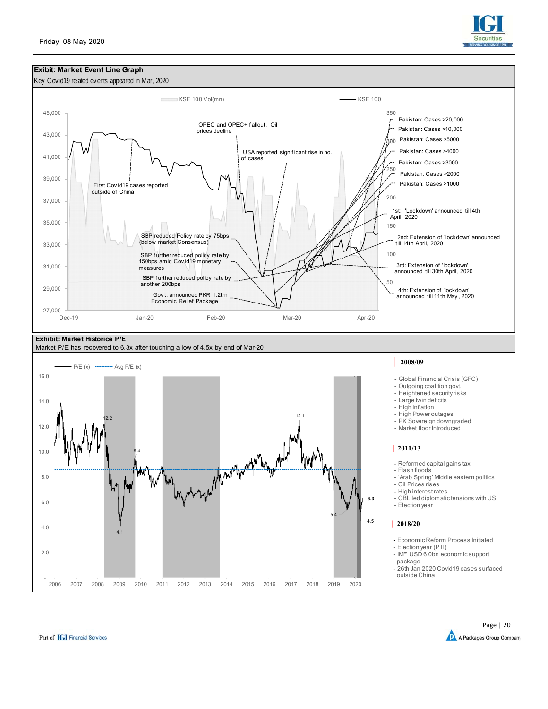



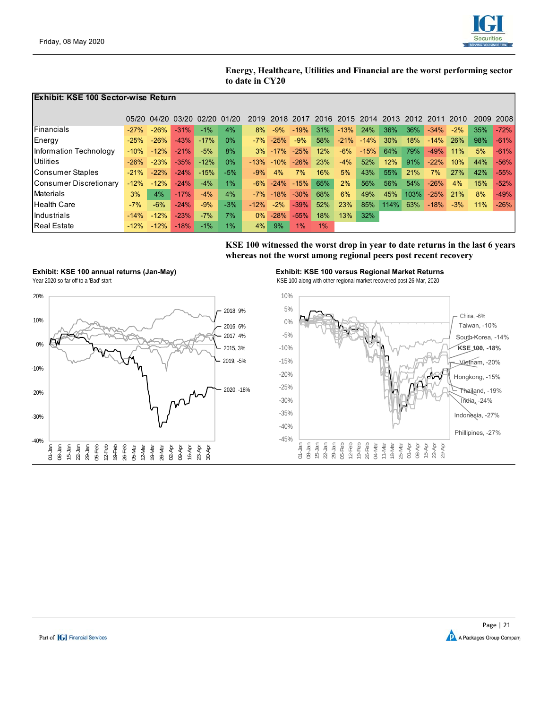

**Energy, Healthcare, Utilities and Financial are the worst performing sector to date in CY20**

#### **Exhibit: KSE 100 Sector-wise Return**

|                        |        | 05/20 04/20 03/20 |        | 02/20  | (11/2) | 2019   | -2018          | -2017  | 2016 | -2015  | 2014   | 2013 | 2012 | 2011   | 2010   | 2009       | 2008   |
|------------------------|--------|-------------------|--------|--------|--------|--------|----------------|--------|------|--------|--------|------|------|--------|--------|------------|--------|
|                        |        |                   |        |        |        |        |                |        |      |        |        |      |      |        |        |            |        |
| Financials             | $-27%$ | $-26%$            | $-31%$ | $-1%$  | 4%     | 8%     | $-9%$          | $-19%$ | 31%  | $-13%$ | 24%    | 36%  | 36%  | $-34%$ | $-2\%$ | 35%        | $-72%$ |
| <b>Energy</b>          | $-25%$ | $-26%$            | $-43%$ | $-17%$ | $0\%$  | $-7%$  | $-25%$         | $-9%$  | 58%  | $-21%$ | $-14%$ | 30%  | 18%  | $-14%$ | 26%    | 98%        | $-61%$ |
| Information Technology | $-10%$ | $-12%$            | $-21%$ | $-5%$  | 8%     | 3%     | $-17%$         | $-25%$ | 12%  | $-6%$  | $-15%$ | 64%  | 79%  | $-49%$ | 11%    | 5%         | $-61%$ |
| Utilities              | $-26%$ | $-23%$            | $-35%$ | $-12%$ | $0\%$  |        | $-13\% - 10\%$ | $-26%$ | 23%  | $-4%$  | 52%    | 12%  | 91%  | $-22%$ | 10%    | 44%        | $-56%$ |
| Consumer Staples       | $-21%$ | $-22%$            | $-24%$ | $-15%$ | $-5%$  | $-9%$  | 4%             | 7%     | 16%  | 5%     | 43%    | 55%  | 21%  | 7%     | 27%    | 42%        | $-55%$ |
| Consumer Discretionary | $-12%$ | $-12%$            | $-24%$ | $-4%$  | $1\%$  | $-6\%$ | $-24%$         | $-15%$ | 65%  | 2%     | 56%    | 56%  | 54%  | $-26%$ | 4%     | 15%        | $-52%$ |
| Materials              | 3%     | 4%                | $-17%$ | $-4%$  | 4%     | $-7%$  | $-18%$         | $-30%$ | 68%  | 6%     | 49%    | 45%  | 103% | $-25%$ | 21%    | 8%         | $-49%$ |
| <b>Health Care</b>     | $-7%$  | $-6%$             | $-24%$ | $-9%$  | $-3%$  | $-12%$ | $-2%$          | $-39%$ | 52%  | 23%    | 85%    | 114% | 63%  | $-18%$ | $-3%$  | <b>11%</b> | $-26%$ |
| Industrials            | $-14%$ | $-12%$            | $-23%$ | $-7%$  | 7%     | $0\%$  | $-28%$         | $-55%$ | 18%  | 13%    | 32%    |      |      |        |        |            |        |
| <b>Real Estate</b>     | $-12%$ | $-12%$            | $-18%$ | $-1\%$ | 1%     | 4%     | 9%             | 1%     | 1%   |        |        |      |      |        |        |            |        |

**KSE 100 witnessed the worst drop in year to date returns in the last 6 years whereas not the worst among regional peers post recent recovery**



**Exhibit: KSE 100 annual returns (Jan-May) Exhibit: KSE 100 versus Regional Market Returns** 

Year 2020 so far off to a 'Bad' start Controller Controller Marchael Start Area Controller Marchael Marchael Marchael Marchael Marchael Marchael Marchael Marchael Marchael Marchael Marchael Marchael Marchael Marchael March



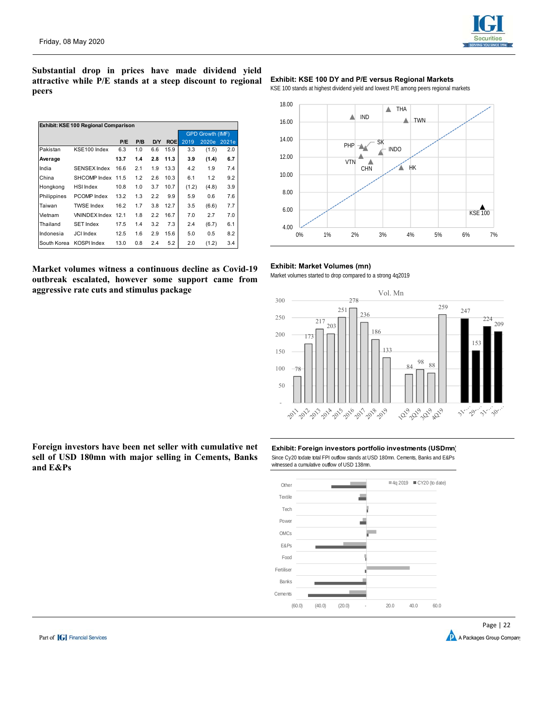

**Substantial drop in prices have made dividend yield attractive while P/E stands at a steep discount to regional peers** 

|             | Exhibit: KSE 100 Regional Comparison |      |     |     |                         |       |       |       |  |  |  |  |  |  |
|-------------|--------------------------------------|------|-----|-----|-------------------------|-------|-------|-------|--|--|--|--|--|--|
|             |                                      |      |     |     | <b>GPD Growth (IMF)</b> |       |       |       |  |  |  |  |  |  |
|             |                                      | P/E  | P/B | D/Y | <b>ROE</b>              | 2019  | 2020e | 2021e |  |  |  |  |  |  |
| Pakistan    | KSE100 Index                         | 6.3  | 1.0 | 6.6 | 15.9                    | 3.3   | (1.5) | 2.0   |  |  |  |  |  |  |
| Average     |                                      | 13.7 | 1.4 | 2.8 | 11.3                    | 3.9   | (1.4) | 6.7   |  |  |  |  |  |  |
| India       | SENSEX Index                         | 16.6 | 2.1 | 1.9 | 13.3                    | 4.2   | 1.9   | 7.4   |  |  |  |  |  |  |
| China       | SHCOMP Index                         | 11.5 | 1.2 | 2.6 | 10.3                    | 6.1   | 1.2   | 9.2   |  |  |  |  |  |  |
| Hongkong    | <b>HSI Index</b>                     | 10.8 | 1.0 | 3.7 | 10.7                    | (1.2) | (4.8) | 3.9   |  |  |  |  |  |  |
| Philippines | PCOMP Index                          | 13.2 | 1.3 | 2.2 | 9.9                     | 5.9   | 0.6   | 7.6   |  |  |  |  |  |  |
| Taiwan      | <b>TWSE Index</b>                    | 16.2 | 1.7 | 3.8 | 12.7                    | 3.5   | (6.6) | 7.7   |  |  |  |  |  |  |
| Vietnam     | VNINDEX Index                        | 12.1 | 1.8 | 2.2 | 16.7                    | 7.0   | 2.7   | 7.0   |  |  |  |  |  |  |
| Thailand    | <b>SET Index</b>                     | 17.5 | 1.4 | 3.2 | 7.3                     | 2.4   | (6.7) | 6.1   |  |  |  |  |  |  |
| Indonesia   | <b>JCI</b> Index                     | 12.5 | 1.6 | 2.9 | 15.6                    | 5.0   | 0.5   | 8.2   |  |  |  |  |  |  |
| South Korea | <b>KOSPI Index</b>                   | 13.0 | 0.8 | 2.4 | 5.2                     | 2.0   | (1.2) | 3.4   |  |  |  |  |  |  |

#### **Market volumes witness a continuous decline as Covid-19 outbreak escalated, however some support came from aggressive rate cuts and stimulus package**

#### **Exhibit: KSE 100 DY and P/E versus Regional Markets**

KSE 100 stands at highest dividend yield and lowest P/E among peers regional markets



#### **Exhibit: Market Volumes (mn)**

Market volumes started to drop compared to a strong 4q2019



**Foreign investors have been net seller with cumulative net sell of USD 180mn with major selling in Cements, Banks and E&Ps** 

# **Exhibit: Foreign investors portfolio investments (USDmn)**

Since Cy20 todate total FPI outflow stands at USD 180mn. Cements, Banks and E&Ps witnessed a cumulative outflow of USD 138mn.



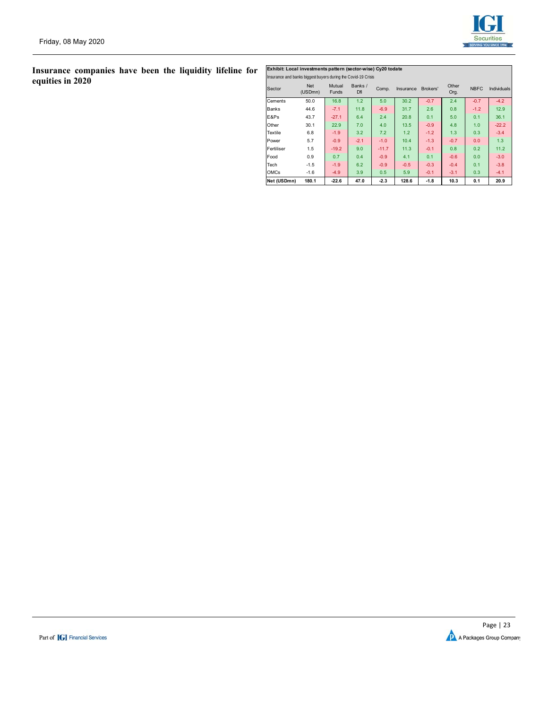

# **Insurance companies have been the liquidity lifeline for equities in 2020**

|             | Exhibit: Local investments pattern (sector-wise) Cy20 todate  |                        |                |         |           |          |               |             |                    |  |  |  |  |  |  |
|-------------|---------------------------------------------------------------|------------------------|----------------|---------|-----------|----------|---------------|-------------|--------------------|--|--|--|--|--|--|
|             | Insurance and banks biggest buyers during the Covid-19 Crisis |                        |                |         |           |          |               |             |                    |  |  |  |  |  |  |
| Sector      | <b>Net</b><br>(USDmn)                                         | Mutual<br><b>Funds</b> | Banks /<br>Dfi | Comp.   | Insurance | Brokers' | Other<br>Org. | <b>NBFC</b> | <b>Individuals</b> |  |  |  |  |  |  |
| Cements     | 50.0                                                          | 16.8                   | 1.2            | 5.0     | 30.2      | $-0.7$   | 2.4           | $-0.7$      | $-4.2$             |  |  |  |  |  |  |
| Banks       | 44.6                                                          | $-7.1$                 | 11.8           | $-6.9$  | 31.7      | 2.6      | 0.8           | $-1.2$      | 12.9               |  |  |  |  |  |  |
| E&Ps        | 43.7                                                          | $-27.1$                | 6.4            | 2.4     | 20.8      | 0.1      | 5.0           | 0.1         | 36.1               |  |  |  |  |  |  |
| Other       | 30.1                                                          | 22.9                   | 7.0            | 4.0     | 13.5      | $-0.9$   | 4.8           | 1.0         | $-22.2$            |  |  |  |  |  |  |
| Textile     | 6.8                                                           | $-1.9$                 | 3.2            | 7.2     | 1.2       | $-1.2$   | 1.3           | 0.3         | $-3.4$             |  |  |  |  |  |  |
| Power       | 5.7                                                           | $-0.9$                 | $-2.1$         | $-1.0$  | 10.4      | $-1.3$   | $-0.7$        | 0.0         | 1.3                |  |  |  |  |  |  |
| Fertiliser  | 1.5                                                           | $-19.2$                | 9.0            | $-11.7$ | 11.3      | $-0.1$   | 0.8           | 0.2         | 11.2               |  |  |  |  |  |  |
| Food        | 0.9                                                           | 0.7                    | 0.4            | $-0.9$  | 4.1       | 0.1      | $-0.6$        | 0.0         | $-3.0$             |  |  |  |  |  |  |
| Tech        | $-1.5$                                                        | $-1.9$                 | 6.2            | $-0.9$  | $-0.5$    | $-0.3$   | $-0.4$        | 0.1         | $-3.8$             |  |  |  |  |  |  |
| <b>OMCs</b> | $-1.6$                                                        | $-4.9$                 | 3.9            | 0.5     | 5.9       | $-0.1$   | $-3.1$        | 0.3         | $-4.1$             |  |  |  |  |  |  |
| Net (USDmn) | 180.1                                                         | $-22.6$                | 47.0           | $-2.3$  | 128.6     | $-1.8$   | 10.3          | 0.1         | 20.9               |  |  |  |  |  |  |

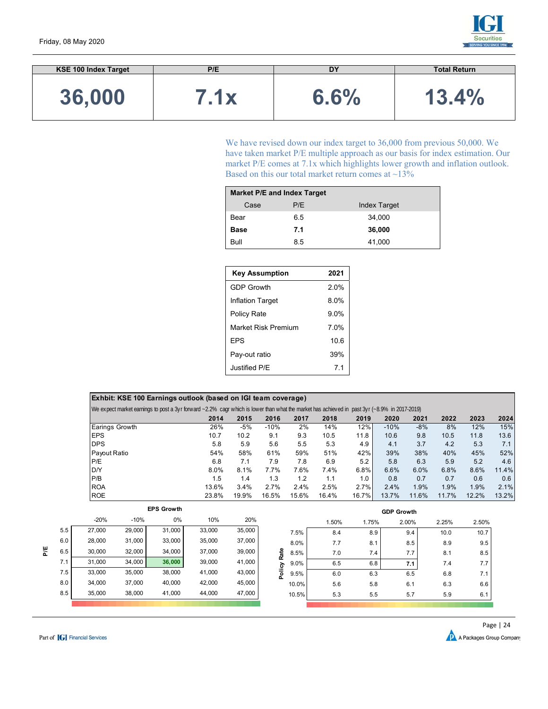

| <b>KSE 100 Index Target</b> | P/E  | DΥ   | <b>Total Return</b> |
|-----------------------------|------|------|---------------------|
| 36,000                      | 7.1x | 6.6% | 13.4%               |

We have revised down our index target to 36,000 from previous 50,000. We have taken market P/E multiple approach as our basis for index estimation. Our market P/E comes at 7.1x which highlights lower growth and inflation outlook. Based on this our total market return comes at  $\sim$ 13%

|             | <b>Market P/E and Index Target</b> |                     |  |  |  |  |  |  |  |  |  |  |  |
|-------------|------------------------------------|---------------------|--|--|--|--|--|--|--|--|--|--|--|
| Case        | P/E                                | <b>Index Target</b> |  |  |  |  |  |  |  |  |  |  |  |
| Bear        | 6.5                                | 34,000              |  |  |  |  |  |  |  |  |  |  |  |
| <b>Base</b> | 7.1                                | 36,000              |  |  |  |  |  |  |  |  |  |  |  |
| Bull        | 8.5                                | 41,000              |  |  |  |  |  |  |  |  |  |  |  |

| <b>Key Assumption</b>   | 2021           |
|-------------------------|----------------|
| <b>GDP Growth</b>       | 2.0%           |
| <b>Inflation Target</b> | 8.0%           |
| Policy Rate             | $9.0\%$        |
| Market Risk Premium     | 7.0%           |
| <b>FPS</b>              | 10.6           |
| Pay-out ratio           | 39%            |
| Justified P/F           | 7 <sub>1</sub> |

| Exhbit: KSE 100 Earnings outlook (based on IGI team coverage)                                                                                |       |       |        |       |       |       |        |       |       |       |       |  |  |  |
|----------------------------------------------------------------------------------------------------------------------------------------------|-------|-------|--------|-------|-------|-------|--------|-------|-------|-------|-------|--|--|--|
| We expect market earnings to post a 3yr forward ~2.2% cagr which is lower than what the market has achieved in past 3yr (~8.9% in 2017-2019) |       |       |        |       |       |       |        |       |       |       |       |  |  |  |
|                                                                                                                                              | 2014  | 2015  | 2016   | 2017  | 2018  | 2019  | 2020   | 2021  | 2022  | 2023  | 2024  |  |  |  |
| Earings Growth                                                                                                                               | 26%   | -5%   | $-10%$ | 2%    | 14%   | 12%   | $-10%$ | $-8%$ | 8%    | 12%   | 15%   |  |  |  |
| <b>IEPS</b>                                                                                                                                  | 10.7  | 10.2  | 9.1    | 9.3   | 10.5  | 11.8  | 10.6   | 9.8   | 10.5  | 11.8  | 13.6  |  |  |  |
| <b>DPS</b>                                                                                                                                   | 5.8   | 5.9   | 5.6    | 5.5   | 5.3   | 4.9   | 4.1    | 3.7   | 4.2   | 5.3   | 7.1   |  |  |  |
| Payout Ratio                                                                                                                                 | 54%   | 58%   | 61%    | 59%   | 51%   | 42%   | 39%    | 38%   | 40%   | 45%   | 52%   |  |  |  |
| P/E                                                                                                                                          | 6.8   | 7.1   | 7.9    | 7.8   | 6.9   | 5.2   | 5.8    | 6.3   | 5.9   | 5.2   | 4.6   |  |  |  |
| D/Y                                                                                                                                          | 8.0%  | 8.1%  | 7.7%   | 7.6%  | 7.4%  | 6.8%  | 6.6%   | 6.0%  | 6.8%  | 8.6%  | 11.4% |  |  |  |
| P/B                                                                                                                                          | 1.5   | 1.4   | 1.3    | 1.2   | 1.1   | 1.0   | 0.8    | 0.7   | 0.7   | 0.6   | 0.6   |  |  |  |
| <b>ROA</b>                                                                                                                                   | 13.6% | 3.4%  | 2.7%   | 2.4%  | 2.5%  | 2.7%  | 2.4%   | 1.9%  | 1.9%  | 1.9%  | 2.1%  |  |  |  |
| <b>ROE</b>                                                                                                                                   | 23.8% | 19.9% | 16.5%  | 15.6% | 16.4% | 16.7% | 13.7%  | 11.6% | 11.7% | 12.2% | 13.2% |  |  |  |

|     |        |        | <b>EPS Growth</b> |        |        |                | <b>GDP Growth</b> |       |       |       |       |  |  |  |  |
|-----|--------|--------|-------------------|--------|--------|----------------|-------------------|-------|-------|-------|-------|--|--|--|--|
|     | $-20%$ | $-10%$ | $0\%$             | 10%    | 20%    |                | 1.50%             | 1.75% | 2.00% | 2.25% | 2.50% |  |  |  |  |
| 5.5 | 27,000 | 29,000 | 31,000            | 33,000 | 35,000 | 7.5%           | 8.4               | 8.9   | 9.4   | 10.0  | 10.7  |  |  |  |  |
| 6.0 | 28,000 | 31,000 | 33,000            | 35,000 | 37,000 | 8.0%           | 7.7               | 8.1   | 8.5   | 8.9   | 9.5   |  |  |  |  |
| 6.5 | 30,000 | 32,000 | 34,000            | 37,000 | 39,000 | Rate<br>8.5%   | 7.0               | 7.4   | 7.7   | 8.1   | 8.5   |  |  |  |  |
| 7.1 | 31,000 | 34,000 | 36,000            | 39,000 | 41,000 | $9.0\%$        | 6.5               | 6.8   | 7.1   | 7.4   | 7.7   |  |  |  |  |
| 7.5 | 33,000 | 35,000 | 38,000            | 41,000 | 43,000 | Policy<br>9.5% | 6.0               | 6.3   | 6.5   | 6.8   | 7.1   |  |  |  |  |
| 8.0 | 34,000 | 37,000 | 40,000            | 42,000 | 45,000 | 10.0%          | 5.6               | 5.8   | 6.1   | 6.3   | 6.6   |  |  |  |  |
| 8.5 | 35,000 | 38,000 | 41,000            | 44,000 | 47,000 | 10.5%          | 5.3               | 5.5   | 5.7   | 5.9   | 6.1   |  |  |  |  |
|     |        |        |                   |        |        |                |                   |       |       |       |       |  |  |  |  |

**P/E**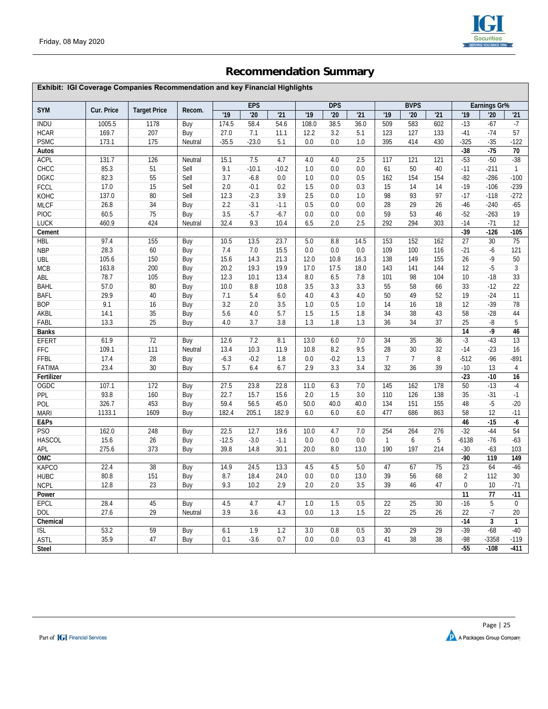

# **Recommendation Summary**

|                 | Exhibit: IGI Coverage Companies Recommendation and key Financial Highlights |                     |         |         |            |         |       |            |      |                |                |     |                 |                 |              |
|-----------------|-----------------------------------------------------------------------------|---------------------|---------|---------|------------|---------|-------|------------|------|----------------|----------------|-----|-----------------|-----------------|--------------|
|                 |                                                                             |                     |         |         | <b>EPS</b> |         |       | <b>DPS</b> |      |                | <b>BVPS</b>    |     | Earnings Gr%    |                 |              |
| <b>SYM</b>      | Cur. Price                                                                  | <b>Target Price</b> | Recom.  | '19     | '20        | '21     | '19   | '20        | '21  | '19            | 20             | '21 | '19             | '20             | '21          |
| <b>INDU</b>     | 1005.5                                                                      | 1178                | Buy     | 174.5   | 58.4       | 54.6    | 108.0 | 38.5       | 36.0 | 509            | 583            | 602 | $-13$           | $-67$           | $-7$         |
| <b>HCAR</b>     | 169.7                                                                       | 207                 | Buy     | 27.0    | 7.1        | 11.1    | 12.2  | 3.2        | 5.1  | 123            | 127            | 133 | $-41$           | $-74$           | 57           |
| <b>PSMC</b>     | 173.1                                                                       | 175                 | Neutral | $-35.5$ | $-23.0$    | 5.1     | 0.0   | 0.0        | 1.0  | 395            | 414            | 430 | $-325$          | $-35$           | $-122$       |
| Autos           |                                                                             |                     |         |         |            |         |       |            |      |                |                |     | $-38$           | $-75$           | 70           |
| <b>ACPL</b>     | 131.7                                                                       | 126                 | Neutral | 15.1    | 7.5        | 4.7     | 4.0   | 4.0        | 2.5  | 117            | 121            | 121 | $-53$           | $-50$           | $-38$        |
| CHCC            | 85.3                                                                        | 51                  | Sell    | 9.1     | $-10.1$    | $-10.2$ | 1.0   | 0.0        | 0.0  | 61             | 50             | 40  | $-11$           | $-211$          | $\mathbf{1}$ |
| <b>DGKC</b>     | 82.3                                                                        | 55                  | Sell    | 3.7     | $-6.8$     | 0.0     | 1.0   | 0.0        | 0.5  | 162            | 154            | 154 | $-82$           | $-286$          | $-100$       |
| <b>FCCL</b>     | 17.0                                                                        | 15                  | Sell    | 2.0     | $-0.1$     | 0.2     | 1.5   | 0.0        | 0.3  | 15             | 14             | 14  | $-19$           | $-106$          | $-239$       |
| KOHC            | 137.0                                                                       | 80                  | Sell    | 12.3    | $-2.3$     | 3.9     | 2.5   | 0.0        | 1.0  | 98             | 93             | 97  | $-17$           | $-118$          | $-272$       |
| <b>MLCF</b>     | 26.8                                                                        | 34                  | Buy     | 2.2     | $-3.1$     | $-1.1$  | 0.5   | 0.0        | 0.0  | 28             | 29             | 26  | $-46$           | $-240$          | $-65$        |
| <b>PIOC</b>     | 60.5                                                                        | 75                  | Buy     | 3.5     | $-5.7$     | $-6.7$  | 0.0   | 0.0        | 0.0  | 59             | 53             | 46  | $-52$           | $-263$          | 19           |
| <b>LUCK</b>     | 460.9                                                                       | 424                 | Neutral | 32.4    | 9.3        | 10.4    | 6.5   | 2.0        | 2.5  | 292            | 294            | 303 | $-14$           | $-71$           | 12           |
| Cement          |                                                                             |                     |         |         |            |         |       |            |      |                |                |     | $-39$           | $-126$          | $-105$       |
| <b>HBL</b>      | 97.4                                                                        | 155                 | Buy     | 10.5    | 13.5       | 23.7    | 5.0   | 8.8        | 14.5 | 153            | 152            | 162 | 27              | $\overline{30}$ | 75           |
| <b>NBP</b>      | 28.3                                                                        | 60                  | Buy     | 7.4     | 7.0        | 15.5    | 0.0   | 0.0        | 0.0  | 109            | 100            | 116 | $-21$           | -6              | 121          |
| UBL             | 105.6                                                                       | 150                 | Buy     | 15.6    | 14.3       | 21.3    | 12.0  | 10.8       | 16.3 | 138            | 149            | 155 | 26              | $-9$            | 50           |
| <b>MCB</b>      | 163.8                                                                       | 200                 | Buy     | 20.2    | 19.3       | 19.9    | 17.0  | 17.5       | 18.0 | 143            | 141            | 144 | 12              | $-5$            | 3            |
| ABL             | 78.7                                                                        | 105                 | Buy     | 12.3    | 10.1       | 13.4    | 8.0   | 6.5        | 7.8  | 101            | 98             | 104 | 10              | $-18$           | 33           |
| BAHL            | 57.0                                                                        | 80                  | Buy     | 10.0    | 8.8        | 10.8    | 3.5   | 3.3        | 3.3  | 55             | 58             | 66  | 33              | $-12$           | 22           |
| BAFL            | 29.9                                                                        | 40                  | Buy     | 7.1     | 5.4        | 6.0     | 4.0   | 4.3        | 4.0  | 50             | 49             | 52  | 19              | $-24$           | 11           |
| <b>BOP</b>      | 9.1                                                                         | 16                  | Buy     | 3.2     | 2.0        | 3.5     | 1.0   | 0.5        | 1.0  | 14             | 16             | 18  | 12              | $-39$           | 78           |
| AKBL            | 14.1                                                                        | 35                  | Buy     | 5.6     | 4.0        | 5.7     | 1.5   | 1.5        | 1.8  | 34             | 38             | 43  | 58              | $-28$           | 44           |
| FABL            | 13.3                                                                        | 25                  | Buy     | 4.0     | 3.7        | 3.8     | 1.3   | 1.8        | 1.3  | 36             | 34             | 37  | 25              | -8              | 5            |
| <b>Banks</b>    |                                                                             |                     |         |         |            |         |       |            |      |                |                |     | 14              | $-9$            | 46           |
| EFERT           | 61.9                                                                        | 72                  | Buy     | 12.6    | 7.2        | 8.1     | 13.0  | 6.0        | 7.0  | 34             | 35             | 36  | $-3$            | $-43$           | 13           |
| FFC             | 109.1                                                                       | 111                 | Neutral | 13.4    | 10.3       | 11.9    | 10.8  | 8.2        | 9.5  | 28             | 30             | 32  | $-14$           | $-23$           | 16           |
| <b>FFBL</b>     | 17.4                                                                        | 28                  | Buy     | $-6.3$  | $-0.2$     | 1.8     | 0.0   | $-0.2$     | 1.3  | $\overline{7}$ | $\overline{7}$ | 8   | $-512$          | $-96$           | $-891$       |
| <b>FATIMA</b>   | 23.4                                                                        | $30\,$              | Buy     | 5.7     | 6.4        | 6.7     | 2.9   | 3.3        | 3.4  | 32             | 36             | 39  | $-10$           | 13              | 4            |
| Fertilizer      |                                                                             |                     |         |         |            |         |       |            |      |                |                |     | $-23$           | $-10$           | 16           |
| OGDC            | 107.1                                                                       | 172                 | Buy     | 27.5    | 23.8       | 22.8    | 11.0  | 6.3        | 7.0  | 145            | 162            | 178 | 50              | $-13$           | $-4$         |
| PPL             | 93.8                                                                        | 160                 | Buy     | 22.7    | 15.7       | 15.6    | 2.0   | 1.5        | 3.0  | 110            | 126            | 138 | 35              | $-31$           | $-1$         |
| POL             | 326.7                                                                       | 453                 | Buy     | 59.4    | 56.5       | 45.0    | 50.0  | 40.0       | 40.0 | 134            | 151            | 155 | 48              | $-5$            | $-20$        |
| <b>MARI</b>     | 1133.1                                                                      | 1609                | Buy     | 182.4   | 205.1      | 182.9   | 6.0   | 6.0        | 6.0  | 477            | 686            | 863 | 58              | 12              | $-11$        |
| E&Ps            |                                                                             |                     |         |         |            |         |       |            |      |                |                |     | 46              | $-15$           | $-6$         |
| PS <sub>O</sub> | 162.0                                                                       | 248                 | Buy     | 22.5    | 12.7       | 19.6    | 10.0  | 4.7        | 7.0  | 254            | 264            | 276 | $-32$           | $-44$           | 54           |
| <b>HASCOL</b>   | 15.6                                                                        | 26                  | Buy     | $-12.5$ | $-3.0$     | $-1.1$  | 0.0   | 0.0        | 0.0  | $\mathbf{1}$   | 6              | 5   | $-6138$         | $-76$           | $-63$        |
| APL             | 275.6                                                                       | 373                 | Buy     | 39.8    | 14.8       | 30.1    | 20.0  | 8.0        | 13.0 | 190            | 197            | 214 | $-30$           | $-63$           | 103          |
| <b>OMC</b>      |                                                                             |                     |         |         |            |         |       |            |      |                |                |     | $-90$           | 119             | 149          |
| <b>KAPCO</b>    | 22.4                                                                        | 38                  | Buy     | 14.9    | 24.5       | 13.3    | 4.5   | 4.5        | 5.0  | 47             | 67             | 75  | $\overline{23}$ | 64              | $-46$        |
| <b>HUBC</b>     | 80.8                                                                        | 151                 | Buy     | 8.7     | 18.4       | 24.0    | 0.0   | 0.0        | 13.0 | 39             | 56             | 68  | $\overline{2}$  | 112             | 30           |
| <b>NCPL</b>     | 12.8                                                                        | 23                  | Buy     | 9.3     | 10.2       | 2.9     | 2.0   | 2.0        | 3.5  | 39             | 46             | 47  | 0               | 10              | $-71$        |
| Power           |                                                                             |                     |         |         |            |         |       |            |      |                |                |     | $\overline{11}$ | $\overline{77}$ | $-11$        |
| <b>EPCL</b>     | 28.4                                                                        | 45                  | Buy     | 4.5     | 4.7        | 4.7     | 1.0   | 1.5        | 0.5  | 22             | 25             | 30  | $-16$           | 5               | $\Omega$     |
| DOL             | 27.6                                                                        | 29                  | Neutral | 3.9     | 3.6        | 4.3     | 0.0   | 1.3        | 1.5  | 22             | 25             | 26  | 22              | $-7$            | 20           |
| Chemical        |                                                                             |                     |         |         |            |         |       |            |      |                |                |     | $-14$           | $\mathbf{3}$    | $\mathbf{1}$ |
| <b>ISL</b>      | 53.2                                                                        | 59                  | Buy     | 6.1     | 1.9        | 1.2     | 3.0   | 0.8        | 0.5  | 30             | 29             | 29  | $-39$           | $-68$           | $-40$        |
| <b>ASTL</b>     | 35.9                                                                        | 47                  | Buy     | 0.1     | $-3.6$     | 0.7     | 0.0   | 0.0        | 0.3  | 41             | 38             | 38  | $-98$           | $-3358$         | $-119$       |
| Steel           |                                                                             |                     |         |         |            |         |       |            |      |                |                |     | $-55$           | $-108$          | -411         |